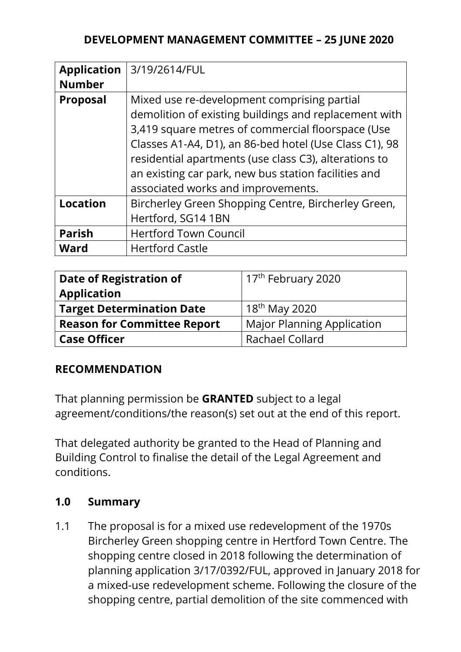### **DEVELOPMENT MANAGEMENT COMMITTEE – 25 JUNE 2020**

| <b>Application</b><br><b>Number</b> | 3/19/2614/FUL                                                                                                                                                                                                                                                                                                                                                              |
|-------------------------------------|----------------------------------------------------------------------------------------------------------------------------------------------------------------------------------------------------------------------------------------------------------------------------------------------------------------------------------------------------------------------------|
| <b>Proposal</b>                     | Mixed use re-development comprising partial<br>demolition of existing buildings and replacement with<br>3,419 square metres of commercial floorspace (Use<br>Classes A1-A4, D1), an 86-bed hotel (Use Class C1), 98<br>residential apartments (use class C3), alterations to<br>an existing car park, new bus station facilities and<br>associated works and improvements. |
| <b>Location</b>                     | Bircherley Green Shopping Centre, Bircherley Green,<br>Hertford, SG14 1BN                                                                                                                                                                                                                                                                                                  |
| <b>Parish</b>                       | <b>Hertford Town Council</b>                                                                                                                                                                                                                                                                                                                                               |
| <b>Ward</b>                         | <b>Hertford Castle</b>                                                                                                                                                                                                                                                                                                                                                     |

| Date of Registration of            | 17 <sup>th</sup> February 2020    |
|------------------------------------|-----------------------------------|
| <b>Application</b>                 |                                   |
| <b>Target Determination Date</b>   | $18^{th}$ May 2020                |
| <b>Reason for Committee Report</b> | <b>Major Planning Application</b> |
| <b>Case Officer</b>                | Rachael Collard                   |

### **RECOMMENDATION**

That planning permission be **GRANTED** subject to a legal agreement/conditions/the reason(s) set out at the end of this report.

That delegated authority be granted to the Head of Planning and Building Control to finalise the detail of the Legal Agreement and conditions.

#### **1.0 Summary**

1.1 The proposal is for a mixed use redevelopment of the 1970s Bircherley Green shopping centre in Hertford Town Centre. The shopping centre closed in 2018 following the determination of planning application 3/17/0392/FUL, approved in January 2018 for a mixed-use redevelopment scheme. Following the closure of the shopping centre, partial demolition of the site commenced with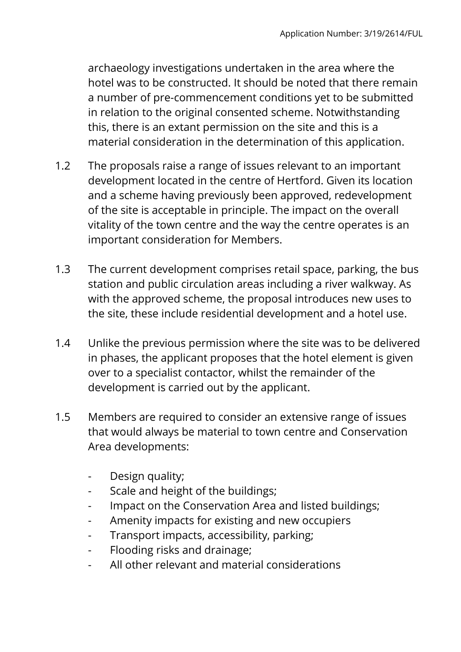archaeology investigations undertaken in the area where the hotel was to be constructed. It should be noted that there remain a number of pre-commencement conditions yet to be submitted in relation to the original consented scheme. Notwithstanding this, there is an extant permission on the site and this is a material consideration in the determination of this application.

- 1.2 The proposals raise a range of issues relevant to an important development located in the centre of Hertford. Given its location and a scheme having previously been approved, redevelopment of the site is acceptable in principle. The impact on the overall vitality of the town centre and the way the centre operates is an important consideration for Members.
- 1.3 The current development comprises retail space, parking, the bus station and public circulation areas including a river walkway. As with the approved scheme, the proposal introduces new uses to the site, these include residential development and a hotel use.
- 1.4 Unlike the previous permission where the site was to be delivered in phases, the applicant proposes that the hotel element is given over to a specialist contactor, whilst the remainder of the development is carried out by the applicant.
- 1.5 Members are required to consider an extensive range of issues that would always be material to town centre and Conservation Area developments:
	- Design quality;
	- Scale and height of the buildings;
	- Impact on the Conservation Area and listed buildings;
	- Amenity impacts for existing and new occupiers
	- Transport impacts, accessibility, parking;
	- Flooding risks and drainage;
	- All other relevant and material considerations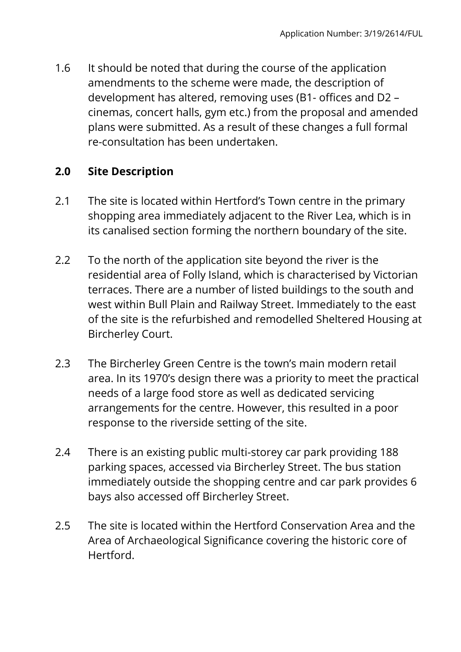1.6 It should be noted that during the course of the application amendments to the scheme were made, the description of development has altered, removing uses (B1- offices and D2 – cinemas, concert halls, gym etc.) from the proposal and amended plans were submitted. As a result of these changes a full formal re-consultation has been undertaken.

## **2.0 Site Description**

- 2.1 The site is located within Hertford's Town centre in the primary shopping area immediately adjacent to the River Lea, which is in its canalised section forming the northern boundary of the site.
- 2.2 To the north of the application site beyond the river is the residential area of Folly Island, which is characterised by Victorian terraces. There are a number of listed buildings to the south and west within Bull Plain and Railway Street. Immediately to the east of the site is the refurbished and remodelled Sheltered Housing at Bircherley Court.
- 2.3 The Bircherley Green Centre is the town's main modern retail area. In its 1970's design there was a priority to meet the practical needs of a large food store as well as dedicated servicing arrangements for the centre. However, this resulted in a poor response to the riverside setting of the site.
- 2.4 There is an existing public multi-storey car park providing 188 parking spaces, accessed via Bircherley Street. The bus station immediately outside the shopping centre and car park provides 6 bays also accessed off Bircherley Street.
- 2.5 The site is located within the Hertford Conservation Area and the Area of Archaeological Significance covering the historic core of Hertford.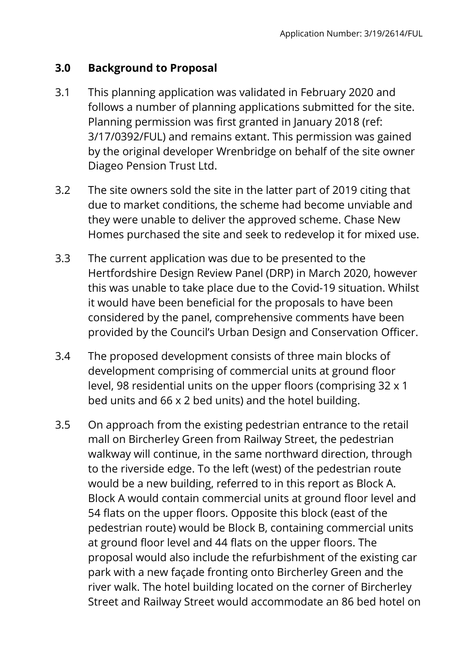## **3.0 Background to Proposal**

- 3.1 This planning application was validated in February 2020 and follows a number of planning applications submitted for the site. Planning permission was first granted in January 2018 (ref: 3/17/0392/FUL) and remains extant. This permission was gained by the original developer Wrenbridge on behalf of the site owner Diageo Pension Trust Ltd.
- 3.2 The site owners sold the site in the latter part of 2019 citing that due to market conditions, the scheme had become unviable and they were unable to deliver the approved scheme. Chase New Homes purchased the site and seek to redevelop it for mixed use.
- 3.3 The current application was due to be presented to the Hertfordshire Design Review Panel (DRP) in March 2020, however this was unable to take place due to the Covid-19 situation. Whilst it would have been beneficial for the proposals to have been considered by the panel, comprehensive comments have been provided by the Council's Urban Design and Conservation Officer.
- 3.4 The proposed development consists of three main blocks of development comprising of commercial units at ground floor level, 98 residential units on the upper floors (comprising 32 x 1 bed units and 66 x 2 bed units) and the hotel building.
- 3.5 On approach from the existing pedestrian entrance to the retail mall on Bircherley Green from Railway Street, the pedestrian walkway will continue, in the same northward direction, through to the riverside edge. To the left (west) of the pedestrian route would be a new building, referred to in this report as Block A. Block A would contain commercial units at ground floor level and 54 flats on the upper floors. Opposite this block (east of the pedestrian route) would be Block B, containing commercial units at ground floor level and 44 flats on the upper floors. The proposal would also include the refurbishment of the existing car park with a new façade fronting onto Bircherley Green and the river walk. The hotel building located on the corner of Bircherley Street and Railway Street would accommodate an 86 bed hotel on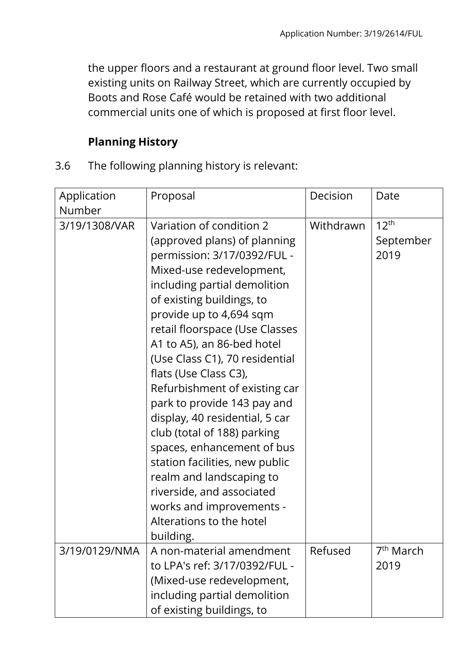the upper floors and a restaurant at ground floor level. Two small existing units on Railway Street, which are currently occupied by Boots and Rose Café would be retained with two additional commercial units one of which is proposed at first floor level.

# **Planning History**

3.6 The following planning history is relevant:

| Application<br>Number | Proposal                                                                                                                                                                                                                                                                                                                                                                                                                                                                                                                                                                                                                                                              | Decision  | Date                                  |
|-----------------------|-----------------------------------------------------------------------------------------------------------------------------------------------------------------------------------------------------------------------------------------------------------------------------------------------------------------------------------------------------------------------------------------------------------------------------------------------------------------------------------------------------------------------------------------------------------------------------------------------------------------------------------------------------------------------|-----------|---------------------------------------|
| 3/19/1308/VAR         | Variation of condition 2<br>(approved plans) of planning<br>permission: 3/17/0392/FUL -<br>Mixed-use redevelopment,<br>including partial demolition<br>of existing buildings, to<br>provide up to 4,694 sqm<br>retail floorspace (Use Classes<br>A1 to A5), an 86-bed hotel<br>(Use Class C1), 70 residential<br>flats (Use Class C3),<br>Refurbishment of existing car<br>park to provide 143 pay and<br>display, 40 residential, 5 car<br>club (total of 188) parking<br>spaces, enhancement of bus<br>station facilities, new public<br>realm and landscaping to<br>riverside, and associated<br>works and improvements -<br>Alterations to the hotel<br>building. | Withdrawn | 12 <sup>th</sup><br>September<br>2019 |
| 3/19/0129/NMA         | A non-material amendment<br>to LPA's ref: 3/17/0392/FUL -<br>(Mixed-use redevelopment,<br>including partial demolition<br>of existing buildings, to                                                                                                                                                                                                                                                                                                                                                                                                                                                                                                                   | Refused   | 7 <sup>th</sup> March<br>2019         |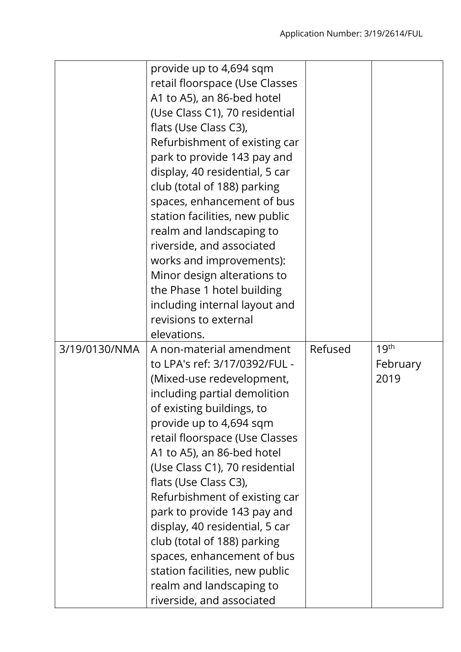|               | provide up to 4,694 sqm<br>retail floorspace (Use Classes<br>A1 to A5), an 86-bed hotel<br>(Use Class C1), 70 residential<br>flats (Use Class C3),<br>Refurbishment of existing car<br>park to provide 143 pay and<br>display, 40 residential, 5 car                                                                                                                                                                                                                                                                                                                |         |                                      |
|---------------|---------------------------------------------------------------------------------------------------------------------------------------------------------------------------------------------------------------------------------------------------------------------------------------------------------------------------------------------------------------------------------------------------------------------------------------------------------------------------------------------------------------------------------------------------------------------|---------|--------------------------------------|
|               | club (total of 188) parking<br>spaces, enhancement of bus<br>station facilities, new public<br>realm and landscaping to<br>riverside, and associated<br>works and improvements):                                                                                                                                                                                                                                                                                                                                                                                    |         |                                      |
|               | Minor design alterations to<br>the Phase 1 hotel building<br>including internal layout and<br>revisions to external<br>elevations.                                                                                                                                                                                                                                                                                                                                                                                                                                  |         |                                      |
| 3/19/0130/NMA | A non-material amendment<br>to LPA's ref: 3/17/0392/FUL -<br>(Mixed-use redevelopment,<br>including partial demolition<br>of existing buildings, to<br>provide up to 4,694 sqm<br>retail floorspace (Use Classes<br>A1 to A5), an 86-bed hotel<br>(Use Class C1), 70 residential<br>flats (Use Class C3),<br>Refurbishment of existing car<br>park to provide 143 pay and<br>display, 40 residential, 5 car<br>club (total of 188) parking<br>spaces, enhancement of bus<br>station facilities, new public<br>realm and landscaping to<br>riverside, and associated | Refused | 19 <sup>th</sup><br>February<br>2019 |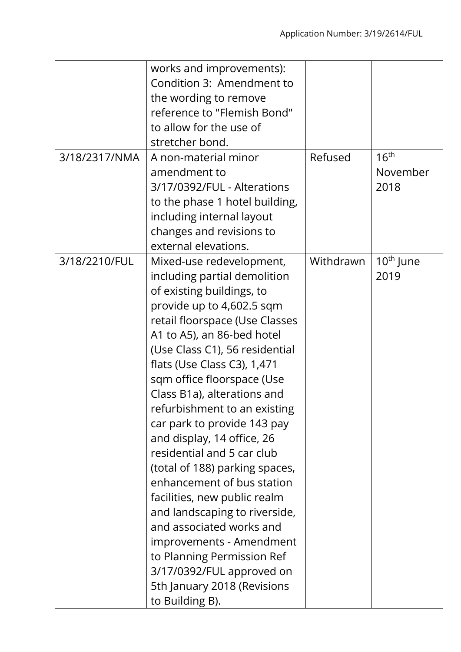|               | works and improvements):       |           |                  |
|---------------|--------------------------------|-----------|------------------|
|               | Condition 3: Amendment to      |           |                  |
|               | the wording to remove          |           |                  |
|               | reference to "Flemish Bond"    |           |                  |
|               | to allow for the use of        |           |                  |
|               | stretcher bond.                |           |                  |
| 3/18/2317/NMA | A non-material minor           | Refused   | 16 <sup>th</sup> |
|               | amendment to                   |           | November         |
|               | 3/17/0392/FUL - Alterations    |           | 2018             |
|               | to the phase 1 hotel building, |           |                  |
|               | including internal layout      |           |                  |
|               | changes and revisions to       |           |                  |
|               | external elevations.           |           |                  |
| 3/18/2210/FUL | Mixed-use redevelopment,       | Withdrawn | $10th$ June      |
|               | including partial demolition   |           | 2019             |
|               | of existing buildings, to      |           |                  |
|               | provide up to 4,602.5 sqm      |           |                  |
|               | retail floorspace (Use Classes |           |                  |
|               | A1 to A5), an 86-bed hotel     |           |                  |
|               | (Use Class C1), 56 residential |           |                  |
|               | flats (Use Class C3), 1,471    |           |                  |
|               | sqm office floorspace (Use     |           |                  |
|               | Class B1a), alterations and    |           |                  |
|               | refurbishment to an existing   |           |                  |
|               | car park to provide 143 pay    |           |                  |
|               | and display, 14 office, 26     |           |                  |
|               | residential and 5 car club     |           |                  |
|               | (total of 188) parking spaces, |           |                  |
|               | enhancement of bus station     |           |                  |
|               | facilities, new public realm   |           |                  |
|               | and landscaping to riverside,  |           |                  |
|               | and associated works and       |           |                  |
|               | improvements - Amendment       |           |                  |
|               | to Planning Permission Ref     |           |                  |
|               | 3/17/0392/FUL approved on      |           |                  |
|               | 5th January 2018 (Revisions    |           |                  |
|               | to Building B).                |           |                  |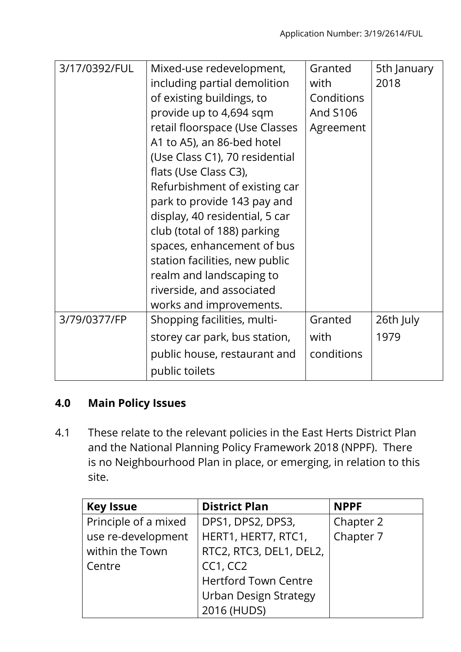| 3/17/0392/FUL | Mixed-use redevelopment,<br>including partial demolition<br>of existing buildings, to<br>provide up to 4,694 sqm<br>retail floorspace (Use Classes<br>A1 to A5), an 86-bed hotel<br>(Use Class C1), 70 residential<br>flats (Use Class C3),<br>Refurbishment of existing car<br>park to provide 143 pay and<br>display, 40 residential, 5 car<br>club (total of 188) parking<br>spaces, enhancement of bus<br>station facilities, new public<br>realm and landscaping to<br>riverside, and associated<br>works and improvements. | Granted<br>with<br>Conditions<br>And S106<br>Agreement | 5th January<br>2018 |
|---------------|----------------------------------------------------------------------------------------------------------------------------------------------------------------------------------------------------------------------------------------------------------------------------------------------------------------------------------------------------------------------------------------------------------------------------------------------------------------------------------------------------------------------------------|--------------------------------------------------------|---------------------|
| 3/79/0377/FP  | Shopping facilities, multi-                                                                                                                                                                                                                                                                                                                                                                                                                                                                                                      | Granted                                                | 26th July           |
|               | storey car park, bus station,                                                                                                                                                                                                                                                                                                                                                                                                                                                                                                    | with                                                   | 1979                |
|               | public house, restaurant and                                                                                                                                                                                                                                                                                                                                                                                                                                                                                                     | conditions                                             |                     |
|               | public toilets                                                                                                                                                                                                                                                                                                                                                                                                                                                                                                                   |                                                        |                     |

# **4.0 Main Policy Issues**

4.1 These relate to the relevant policies in the East Herts District Plan and the National Planning Policy Framework 2018 (NPPF). There is no Neighbourhood Plan in place, or emerging, in relation to this site.

| <b>Key Issue</b>     | <b>District Plan</b>         | <b>NPPF</b> |
|----------------------|------------------------------|-------------|
| Principle of a mixed | DPS1, DPS2, DPS3,            | Chapter 2   |
| use re-development   | HERT1, HERT7, RTC1,          | Chapter 7   |
| within the Town      | RTC2, RTC3, DEL1, DEL2,      |             |
| Centre               | CC1, CC2                     |             |
|                      | <b>Hertford Town Centre</b>  |             |
|                      | <b>Urban Design Strategy</b> |             |
|                      | 2016 (HUDS)                  |             |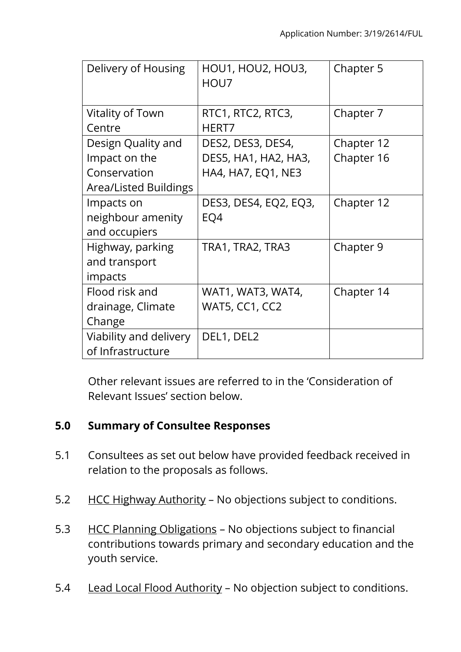| Delivery of Housing          | HOU1, HOU2, HOU3,<br>HOU7 | Chapter 5  |
|------------------------------|---------------------------|------------|
| Vitality of Town             | RTC1, RTC2, RTC3,         | Chapter 7  |
| Centre                       | HERT7                     |            |
| Design Quality and           | DES2, DES3, DES4,         | Chapter 12 |
| Impact on the                | DES5, HA1, HA2, HA3,      | Chapter 16 |
| Conservation                 | <b>HA4, HA7, EQ1, NE3</b> |            |
| <b>Area/Listed Buildings</b> |                           |            |
| Impacts on                   | DES3, DES4, EQ2, EQ3,     | Chapter 12 |
| neighbour amenity            | EQ4                       |            |
| and occupiers                |                           |            |
| Highway, parking             | TRA1, TRA2, TRA3          | Chapter 9  |
| and transport                |                           |            |
| impacts                      |                           |            |
| Flood risk and               | WAT1, WAT3, WAT4,         | Chapter 14 |
| drainage, Climate            | WAT5, CC1, CC2            |            |
| Change                       |                           |            |
| Viability and delivery       | DEL1, DEL2                |            |
| of Infrastructure            |                           |            |

Other relevant issues are referred to in the 'Consideration of Relevant Issues' section below.

## **5.0 Summary of Consultee Responses**

- 5.1 Consultees as set out below have provided feedback received in relation to the proposals as follows.
- 5.2 HCC Highway Authority No objections subject to conditions.
- 5.3 HCC Planning Obligations No objections subject to financial contributions towards primary and secondary education and the youth service.
- 5.4 Lead Local Flood Authority No objection subject to conditions.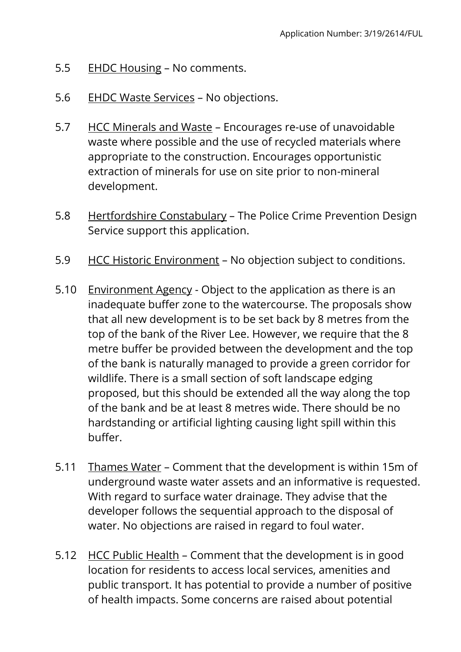- 5.5 EHDC Housing No comments.
- 5.6 EHDC Waste Services No objections.
- 5.7 HCC Minerals and Waste Encourages re-use of unavoidable waste where possible and the use of recycled materials where appropriate to the construction. Encourages opportunistic extraction of minerals for use on site prior to non-mineral development.
- 5.8 Hertfordshire Constabulary The Police Crime Prevention Design Service support this application.
- 5.9 HCC Historic Environment No objection subject to conditions.
- 5.10 Environment Agency Object to the application as there is an inadequate buffer zone to the watercourse. The proposals show that all new development is to be set back by 8 metres from the top of the bank of the River Lee. However, we require that the 8 metre buffer be provided between the development and the top of the bank is naturally managed to provide a green corridor for wildlife. There is a small section of soft landscape edging proposed, but this should be extended all the way along the top of the bank and be at least 8 metres wide. There should be no hardstanding or artificial lighting causing light spill within this buffer.
- 5.11 Thames Water Comment that the development is within 15m of underground waste water assets and an informative is requested. With regard to surface water drainage. They advise that the developer follows the sequential approach to the disposal of water. No objections are raised in regard to foul water.
- 5.12 HCC Public Health Comment that the development is in good location for residents to access local services, amenities and public transport. It has potential to provide a number of positive of health impacts. Some concerns are raised about potential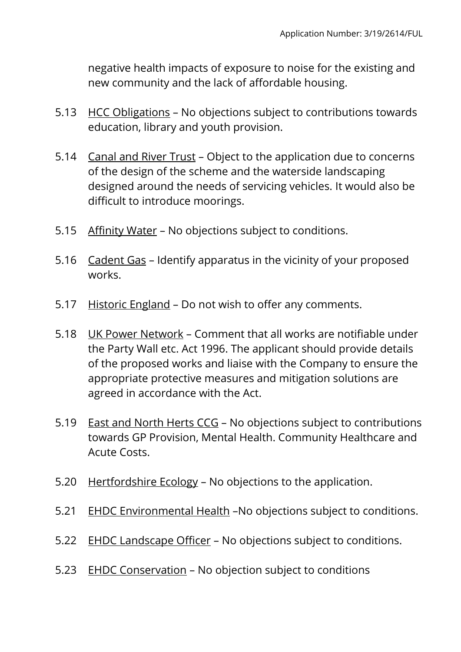negative health impacts of exposure to noise for the existing and new community and the lack of affordable housing.

- 5.13 HCC Obligations No objections subject to contributions towards education, library and youth provision.
- 5.14 Canal and River Trust Object to the application due to concerns of the design of the scheme and the waterside landscaping designed around the needs of servicing vehicles. It would also be difficult to introduce moorings.
- 5.15 Affinity Water No objections subject to conditions.
- 5.16 Cadent Gas Identify apparatus in the vicinity of your proposed works.
- 5.17 Historic England Do not wish to offer any comments.
- 5.18 UK Power Network Comment that all works are notifiable under the Party Wall etc. Act 1996. The applicant should provide details of the proposed works and liaise with the Company to ensure the appropriate protective measures and mitigation solutions are agreed in accordance with the Act.
- 5.19 East and North Herts CCG No objections subject to contributions towards GP Provision, Mental Health. Community Healthcare and Acute Costs.
- 5.20 Hertfordshire Ecology No objections to the application.
- 5.21 EHDC Environmental Health –No objections subject to conditions.
- 5.22 EHDC Landscape Officer No objections subject to conditions.
- 5.23 EHDC Conservation No objection subject to conditions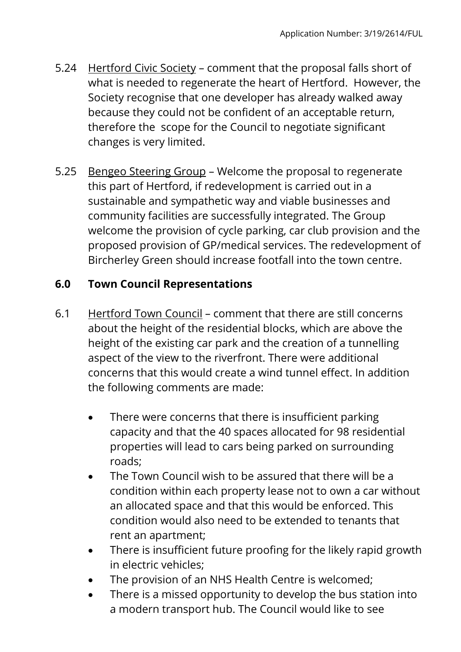- 5.24 Hertford Civic Society comment that the proposal falls short of what is needed to regenerate the heart of Hertford. However, the Society recognise that one developer has already walked away because they could not be confident of an acceptable return, therefore the scope for the Council to negotiate significant changes is very limited.
- 5.25 Bengeo Steering Group Welcome the proposal to regenerate this part of Hertford, if redevelopment is carried out in a sustainable and sympathetic way and viable businesses and community facilities are successfully integrated. The Group welcome the provision of cycle parking, car club provision and the proposed provision of GP/medical services. The redevelopment of Bircherley Green should increase footfall into the town centre.

# **6.0 Town Council Representations**

- 6.1 Hertford Town Council comment that there are still concerns about the height of the residential blocks, which are above the height of the existing car park and the creation of a tunnelling aspect of the view to the riverfront. There were additional concerns that this would create a wind tunnel effect. In addition the following comments are made:
	- There were concerns that there is insufficient parking capacity and that the 40 spaces allocated for 98 residential properties will lead to cars being parked on surrounding roads;
	- The Town Council wish to be assured that there will be a condition within each property lease not to own a car without an allocated space and that this would be enforced. This condition would also need to be extended to tenants that rent an apartment;
	- There is insufficient future proofing for the likely rapid growth in electric vehicles;
	- The provision of an NHS Health Centre is welcomed;
	- There is a missed opportunity to develop the bus station into a modern transport hub. The Council would like to see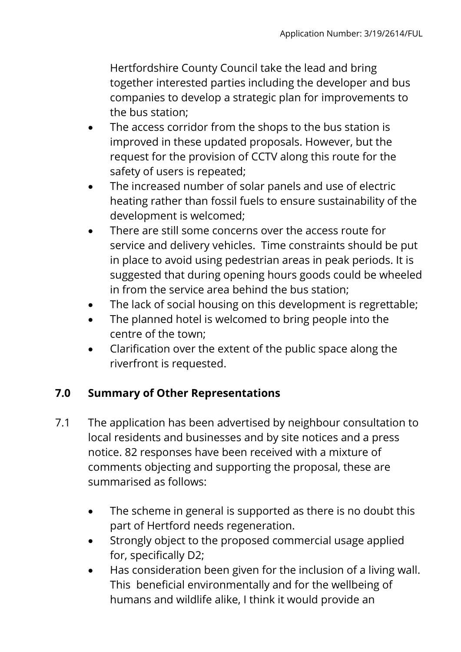Hertfordshire County Council take the lead and bring together interested parties including the developer and bus companies to develop a strategic plan for improvements to the bus station;

- The access corridor from the shops to the bus station is improved in these updated proposals. However, but the request for the provision of CCTV along this route for the safety of users is repeated;
- The increased number of solar panels and use of electric heating rather than fossil fuels to ensure sustainability of the development is welcomed;
- There are still some concerns over the access route for service and delivery vehicles. Time constraints should be put in place to avoid using pedestrian areas in peak periods. It is suggested that during opening hours goods could be wheeled in from the service area behind the bus station;
- The lack of social housing on this development is regrettable;
- The planned hotel is welcomed to bring people into the centre of the town;
- Clarification over the extent of the public space along the riverfront is requested.

# **7.0 Summary of Other Representations**

- 7.1 The application has been advertised by neighbour consultation to local residents and businesses and by site notices and a press notice. 82 responses have been received with a mixture of comments objecting and supporting the proposal, these are summarised as follows:
	- The scheme in general is supported as there is no doubt this part of Hertford needs regeneration.
	- Strongly object to the proposed commercial usage applied for, specifically D2;
	- Has consideration been given for the inclusion of a living wall. This beneficial environmentally and for the wellbeing of humans and wildlife alike, I think it would provide an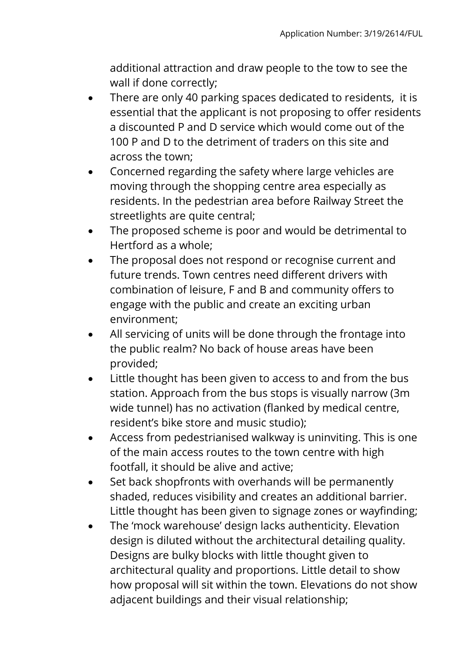additional attraction and draw people to the tow to see the wall if done correctly;

- There are only 40 parking spaces dedicated to residents, it is essential that the applicant is not proposing to offer residents a discounted P and D service which would come out of the 100 P and D to the detriment of traders on this site and across the town;
- Concerned regarding the safety where large vehicles are moving through the shopping centre area especially as residents. In the pedestrian area before Railway Street the streetlights are quite central;
- The proposed scheme is poor and would be detrimental to Hertford as a whole;
- The proposal does not respond or recognise current and future trends. Town centres need different drivers with combination of leisure, F and B and community offers to engage with the public and create an exciting urban environment;
- All servicing of units will be done through the frontage into the public realm? No back of house areas have been provided;
- Little thought has been given to access to and from the bus station. Approach from the bus stops is visually narrow (3m wide tunnel) has no activation (flanked by medical centre, resident's bike store and music studio);
- Access from pedestrianised walkway is uninviting. This is one of the main access routes to the town centre with high footfall, it should be alive and active;
- Set back shopfronts with overhands will be permanently shaded, reduces visibility and creates an additional barrier. Little thought has been given to signage zones or wayfinding;
- The 'mock warehouse' design lacks authenticity. Elevation design is diluted without the architectural detailing quality. Designs are bulky blocks with little thought given to architectural quality and proportions. Little detail to show how proposal will sit within the town. Elevations do not show adjacent buildings and their visual relationship;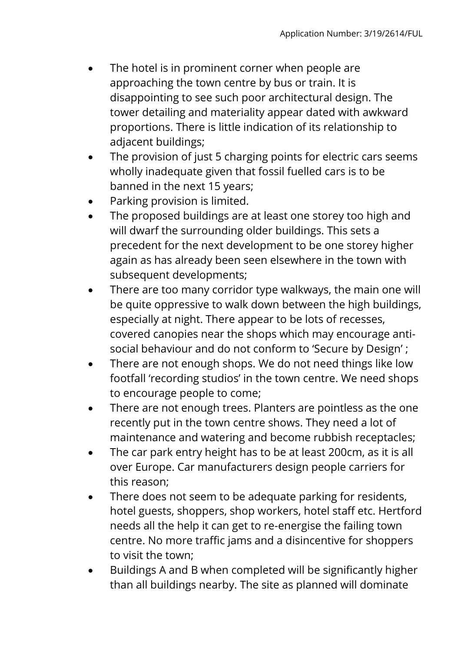- The hotel is in prominent corner when people are approaching the town centre by bus or train. It is disappointing to see such poor architectural design. The tower detailing and materiality appear dated with awkward proportions. There is little indication of its relationship to adjacent buildings;
- The provision of just 5 charging points for electric cars seems wholly inadequate given that fossil fuelled cars is to be banned in the next 15 years;
- Parking provision is limited.
- The proposed buildings are at least one storey too high and will dwarf the surrounding older buildings. This sets a precedent for the next development to be one storey higher again as has already been seen elsewhere in the town with subsequent developments;
- There are too many corridor type walkways, the main one will be quite oppressive to walk down between the high buildings, especially at night. There appear to be lots of recesses, covered canopies near the shops which may encourage antisocial behaviour and do not conform to 'Secure by Design' ;
- There are not enough shops. We do not need things like low footfall 'recording studios' in the town centre. We need shops to encourage people to come;
- There are not enough trees. Planters are pointless as the one recently put in the town centre shows. They need a lot of maintenance and watering and become rubbish receptacles;
- The car park entry height has to be at least 200cm, as it is all over Europe. Car manufacturers design people carriers for this reason;
- There does not seem to be adequate parking for residents, hotel guests, shoppers, shop workers, hotel staff etc. Hertford needs all the help it can get to re-energise the failing town centre. No more traffic jams and a disincentive for shoppers to visit the town;
- Buildings A and B when completed will be significantly higher than all buildings nearby. The site as planned will dominate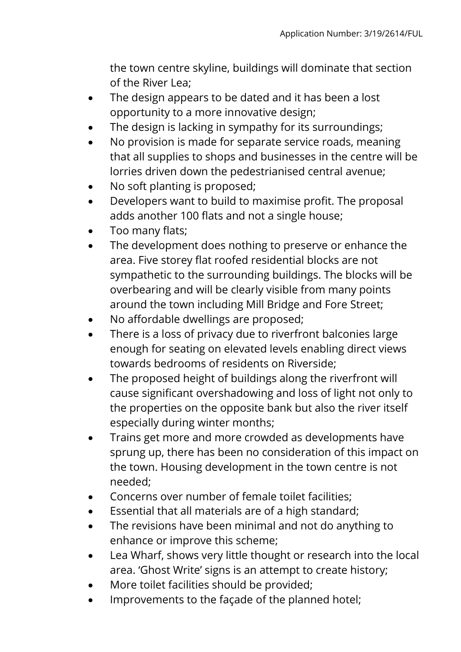the town centre skyline, buildings will dominate that section of the River Lea;

- The design appears to be dated and it has been a lost opportunity to a more innovative design;
- The design is lacking in sympathy for its surroundings;
- No provision is made for separate service roads, meaning that all supplies to shops and businesses in the centre will be lorries driven down the pedestrianised central avenue;
- No soft planting is proposed;
- Developers want to build to maximise profit. The proposal adds another 100 flats and not a single house;
- Too many flats;
- The development does nothing to preserve or enhance the area. Five storey flat roofed residential blocks are not sympathetic to the surrounding buildings. The blocks will be overbearing and will be clearly visible from many points around the town including Mill Bridge and Fore Street;
- No affordable dwellings are proposed;
- There is a loss of privacy due to riverfront balconies large enough for seating on elevated levels enabling direct views towards bedrooms of residents on Riverside;
- The proposed height of buildings along the riverfront will cause significant overshadowing and loss of light not only to the properties on the opposite bank but also the river itself especially during winter months;
- Trains get more and more crowded as developments have sprung up, there has been no consideration of this impact on the town. Housing development in the town centre is not needed;
- Concerns over number of female toilet facilities;
- Essential that all materials are of a high standard;
- The revisions have been minimal and not do anything to enhance or improve this scheme;
- Lea Wharf, shows very little thought or research into the local area. 'Ghost Write' signs is an attempt to create history;
- More toilet facilities should be provided;
- Improvements to the façade of the planned hotel;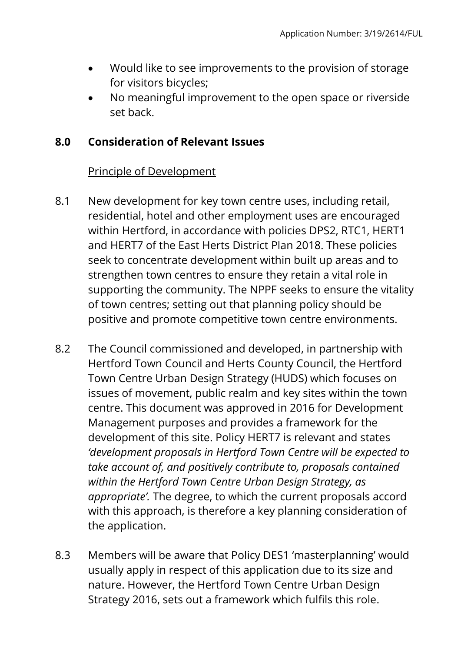- Would like to see improvements to the provision of storage for visitors bicycles;
- No meaningful improvement to the open space or riverside set back.

### **8.0 Consideration of Relevant Issues**

### Principle of Development

- 8.1 New development for key town centre uses, including retail, residential, hotel and other employment uses are encouraged within Hertford, in accordance with policies DPS2, RTC1, HERT1 and HERT7 of the East Herts District Plan 2018. These policies seek to concentrate development within built up areas and to strengthen town centres to ensure they retain a vital role in supporting the community. The NPPF seeks to ensure the vitality of town centres; setting out that planning policy should be positive and promote competitive town centre environments.
- 8.2 The Council commissioned and developed, in partnership with Hertford Town Council and Herts County Council, the Hertford Town Centre Urban Design Strategy (HUDS) which focuses on issues of movement, public realm and key sites within the town centre. This document was approved in 2016 for Development Management purposes and provides a framework for the development of this site. Policy HERT7 is relevant and states *'development proposals in Hertford Town Centre will be expected to take account of, and positively contribute to, proposals contained within the Hertford Town Centre Urban Design Strategy, as appropriate'.* The degree, to which the current proposals accord with this approach, is therefore a key planning consideration of the application.
- 8.3 Members will be aware that Policy DES1 'masterplanning' would usually apply in respect of this application due to its size and nature. However, the Hertford Town Centre Urban Design Strategy 2016, sets out a framework which fulfils this role.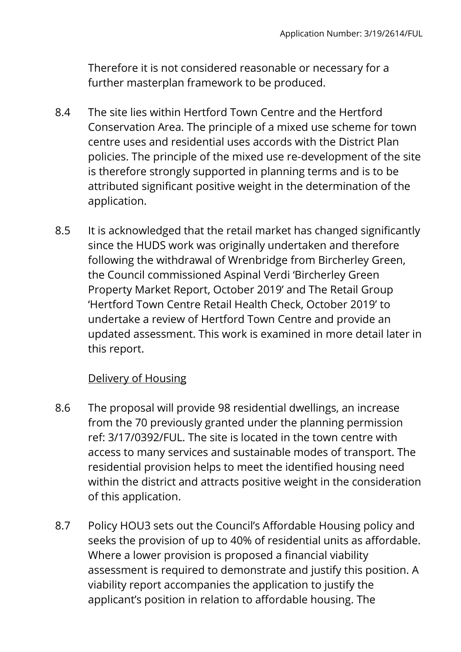Therefore it is not considered reasonable or necessary for a further masterplan framework to be produced.

- 8.4 The site lies within Hertford Town Centre and the Hertford Conservation Area. The principle of a mixed use scheme for town centre uses and residential uses accords with the District Plan policies. The principle of the mixed use re-development of the site is therefore strongly supported in planning terms and is to be attributed significant positive weight in the determination of the application.
- 8.5 It is acknowledged that the retail market has changed significantly since the HUDS work was originally undertaken and therefore following the withdrawal of Wrenbridge from Bircherley Green, the Council commissioned Aspinal Verdi 'Bircherley Green Property Market Report, October 2019' and The Retail Group 'Hertford Town Centre Retail Health Check, October 2019' to undertake a review of Hertford Town Centre and provide an updated assessment. This work is examined in more detail later in this report.

### Delivery of Housing

- 8.6 The proposal will provide 98 residential dwellings, an increase from the 70 previously granted under the planning permission ref: 3/17/0392/FUL. The site is located in the town centre with access to many services and sustainable modes of transport. The residential provision helps to meet the identified housing need within the district and attracts positive weight in the consideration of this application.
- 8.7 Policy HOU3 sets out the Council's Affordable Housing policy and seeks the provision of up to 40% of residential units as affordable. Where a lower provision is proposed a financial viability assessment is required to demonstrate and justify this position. A viability report accompanies the application to justify the applicant's position in relation to affordable housing. The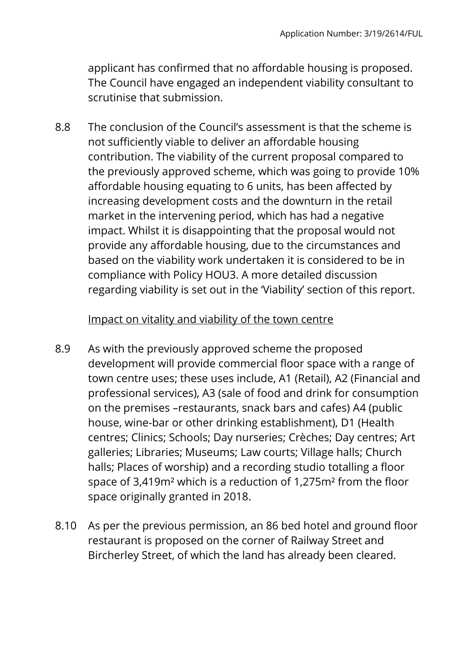applicant has confirmed that no affordable housing is proposed. The Council have engaged an independent viability consultant to scrutinise that submission.

8.8 The conclusion of the Council's assessment is that the scheme is not sufficiently viable to deliver an affordable housing contribution. The viability of the current proposal compared to the previously approved scheme, which was going to provide 10% affordable housing equating to 6 units, has been affected by increasing development costs and the downturn in the retail market in the intervening period, which has had a negative impact. Whilst it is disappointing that the proposal would not provide any affordable housing, due to the circumstances and based on the viability work undertaken it is considered to be in compliance with Policy HOU3. A more detailed discussion regarding viability is set out in the 'Viability' section of this report.

#### Impact on vitality and viability of the town centre

- 8.9 As with the previously approved scheme the proposed development will provide commercial floor space with a range of town centre uses; these uses include, A1 (Retail), A2 (Financial and professional services), A3 (sale of food and drink for consumption on the premises –restaurants, snack bars and cafes) A4 (public house, wine-bar or other drinking establishment), D1 (Health centres; Clinics; Schools; Day nurseries; Crèches; Day centres; Art galleries; Libraries; Museums; Law courts; Village halls; Church halls; Places of worship) and a recording studio totalling a floor space of 3,419m² which is a reduction of 1,275m² from the floor space originally granted in 2018.
- 8.10 As per the previous permission, an 86 bed hotel and ground floor restaurant is proposed on the corner of Railway Street and Bircherley Street, of which the land has already been cleared.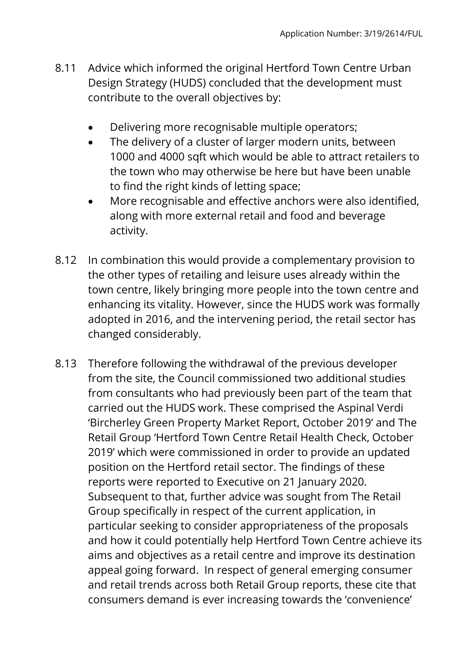- 8.11 Advice which informed the original Hertford Town Centre Urban Design Strategy (HUDS) concluded that the development must contribute to the overall objectives by:
	- Delivering more recognisable multiple operators;
	- The delivery of a cluster of larger modern units, between 1000 and 4000 sqft which would be able to attract retailers to the town who may otherwise be here but have been unable to find the right kinds of letting space;
	- More recognisable and effective anchors were also identified, along with more external retail and food and beverage activity.
- 8.12 In combination this would provide a complementary provision to the other types of retailing and leisure uses already within the town centre, likely bringing more people into the town centre and enhancing its vitality. However, since the HUDS work was formally adopted in 2016, and the intervening period, the retail sector has changed considerably.
- 8.13 Therefore following the withdrawal of the previous developer from the site, the Council commissioned two additional studies from consultants who had previously been part of the team that carried out the HUDS work. These comprised the Aspinal Verdi 'Bircherley Green Property Market Report, October 2019' and The Retail Group 'Hertford Town Centre Retail Health Check, October 2019' which were commissioned in order to provide an updated position on the Hertford retail sector. The findings of these reports were reported to Executive on 21 January 2020. Subsequent to that, further advice was sought from The Retail Group specifically in respect of the current application, in particular seeking to consider appropriateness of the proposals and how it could potentially help Hertford Town Centre achieve its aims and objectives as a retail centre and improve its destination appeal going forward. In respect of general emerging consumer and retail trends across both Retail Group reports, these cite that consumers demand is ever increasing towards the 'convenience'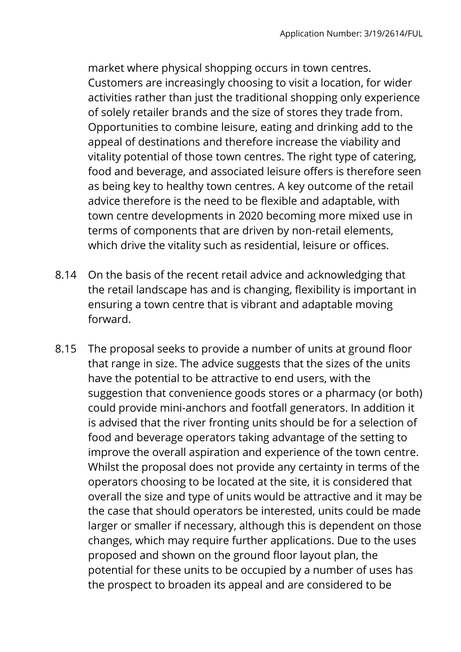market where physical shopping occurs in town centres. Customers are increasingly choosing to visit a location, for wider activities rather than just the traditional shopping only experience of solely retailer brands and the size of stores they trade from. Opportunities to combine leisure, eating and drinking add to the appeal of destinations and therefore increase the viability and vitality potential of those town centres. The right type of catering, food and beverage, and associated leisure offers is therefore seen as being key to healthy town centres. A key outcome of the retail advice therefore is the need to be flexible and adaptable, with town centre developments in 2020 becoming more mixed use in terms of components that are driven by non-retail elements, which drive the vitality such as residential, leisure or offices.

- 8.14 On the basis of the recent retail advice and acknowledging that the retail landscape has and is changing, flexibility is important in ensuring a town centre that is vibrant and adaptable moving forward.
- 8.15 The proposal seeks to provide a number of units at ground floor that range in size. The advice suggests that the sizes of the units have the potential to be attractive to end users, with the suggestion that convenience goods stores or a pharmacy (or both) could provide mini-anchors and footfall generators. In addition it is advised that the river fronting units should be for a selection of food and beverage operators taking advantage of the setting to improve the overall aspiration and experience of the town centre. Whilst the proposal does not provide any certainty in terms of the operators choosing to be located at the site, it is considered that overall the size and type of units would be attractive and it may be the case that should operators be interested, units could be made larger or smaller if necessary, although this is dependent on those changes, which may require further applications. Due to the uses proposed and shown on the ground floor layout plan, the potential for these units to be occupied by a number of uses has the prospect to broaden its appeal and are considered to be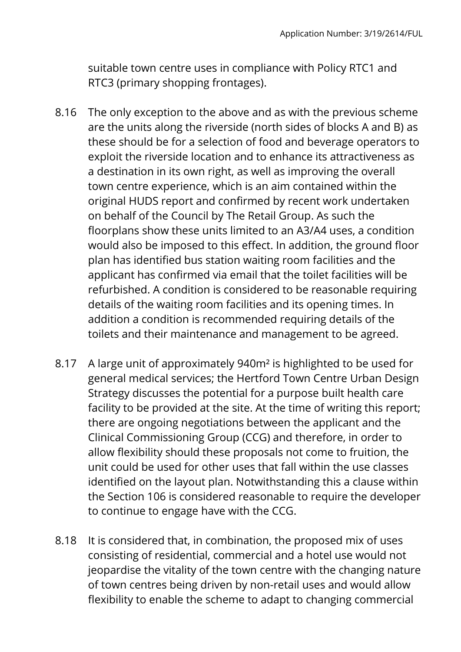suitable town centre uses in compliance with Policy RTC1 and RTC3 (primary shopping frontages).

- 8.16 The only exception to the above and as with the previous scheme are the units along the riverside (north sides of blocks A and B) as these should be for a selection of food and beverage operators to exploit the riverside location and to enhance its attractiveness as a destination in its own right, as well as improving the overall town centre experience, which is an aim contained within the original HUDS report and confirmed by recent work undertaken on behalf of the Council by The Retail Group. As such the floorplans show these units limited to an A3/A4 uses, a condition would also be imposed to this effect. In addition, the ground floor plan has identified bus station waiting room facilities and the applicant has confirmed via email that the toilet facilities will be refurbished. A condition is considered to be reasonable requiring details of the waiting room facilities and its opening times. In addition a condition is recommended requiring details of the toilets and their maintenance and management to be agreed.
- 8.17 A large unit of approximately 940m² is highlighted to be used for general medical services; the Hertford Town Centre Urban Design Strategy discusses the potential for a purpose built health care facility to be provided at the site. At the time of writing this report; there are ongoing negotiations between the applicant and the Clinical Commissioning Group (CCG) and therefore, in order to allow flexibility should these proposals not come to fruition, the unit could be used for other uses that fall within the use classes identified on the layout plan. Notwithstanding this a clause within the Section 106 is considered reasonable to require the developer to continue to engage have with the CCG.
- 8.18 It is considered that, in combination, the proposed mix of uses consisting of residential, commercial and a hotel use would not jeopardise the vitality of the town centre with the changing nature of town centres being driven by non-retail uses and would allow flexibility to enable the scheme to adapt to changing commercial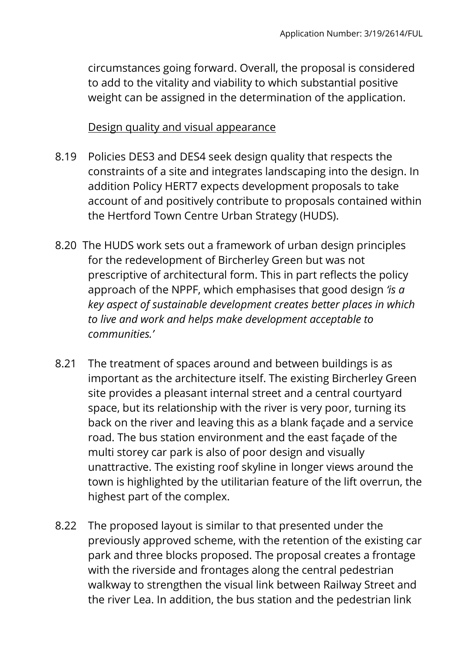circumstances going forward. Overall, the proposal is considered to add to the vitality and viability to which substantial positive weight can be assigned in the determination of the application.

#### Design quality and visual appearance

- 8.19 Policies DES3 and DES4 seek design quality that respects the constraints of a site and integrates landscaping into the design. In addition Policy HERT7 expects development proposals to take account of and positively contribute to proposals contained within the Hertford Town Centre Urban Strategy (HUDS).
- 8.20 The HUDS work sets out a framework of urban design principles for the redevelopment of Bircherley Green but was not prescriptive of architectural form. This in part reflects the policy approach of the NPPF, which emphasises that good design *'is a key aspect of sustainable development creates better places in which to live and work and helps make development acceptable to communities.'*
- 8.21 The treatment of spaces around and between buildings is as important as the architecture itself. The existing Bircherley Green site provides a pleasant internal street and a central courtyard space, but its relationship with the river is very poor, turning its back on the river and leaving this as a blank façade and a service road. The bus station environment and the east façade of the multi storey car park is also of poor design and visually unattractive. The existing roof skyline in longer views around the town is highlighted by the utilitarian feature of the lift overrun, the highest part of the complex.
- 8.22 The proposed layout is similar to that presented under the previously approved scheme, with the retention of the existing car park and three blocks proposed. The proposal creates a frontage with the riverside and frontages along the central pedestrian walkway to strengthen the visual link between Railway Street and the river Lea. In addition, the bus station and the pedestrian link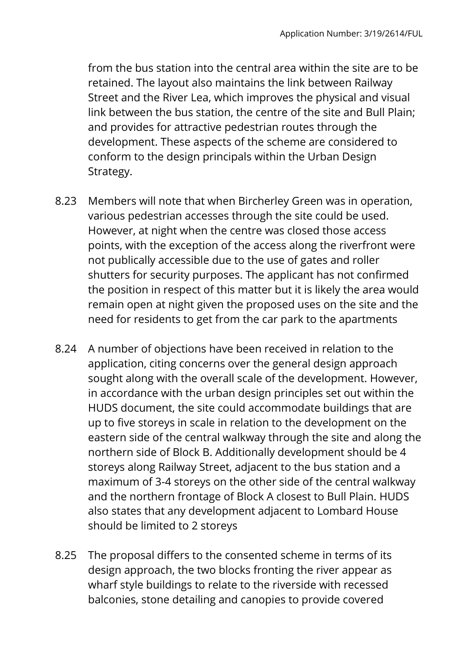from the bus station into the central area within the site are to be retained. The layout also maintains the link between Railway Street and the River Lea, which improves the physical and visual link between the bus station, the centre of the site and Bull Plain; and provides for attractive pedestrian routes through the development. These aspects of the scheme are considered to conform to the design principals within the Urban Design Strategy.

- 8.23 Members will note that when Bircherley Green was in operation, various pedestrian accesses through the site could be used. However, at night when the centre was closed those access points, with the exception of the access along the riverfront were not publically accessible due to the use of gates and roller shutters for security purposes. The applicant has not confirmed the position in respect of this matter but it is likely the area would remain open at night given the proposed uses on the site and the need for residents to get from the car park to the apartments
- 8.24 A number of objections have been received in relation to the application, citing concerns over the general design approach sought along with the overall scale of the development. However, in accordance with the urban design principles set out within the HUDS document, the site could accommodate buildings that are up to five storeys in scale in relation to the development on the eastern side of the central walkway through the site and along the northern side of Block B. Additionally development should be 4 storeys along Railway Street, adjacent to the bus station and a maximum of 3-4 storeys on the other side of the central walkway and the northern frontage of Block A closest to Bull Plain. HUDS also states that any development adjacent to Lombard House should be limited to 2 storeys
- 8.25 The proposal differs to the consented scheme in terms of its design approach, the two blocks fronting the river appear as wharf style buildings to relate to the riverside with recessed balconies, stone detailing and canopies to provide covered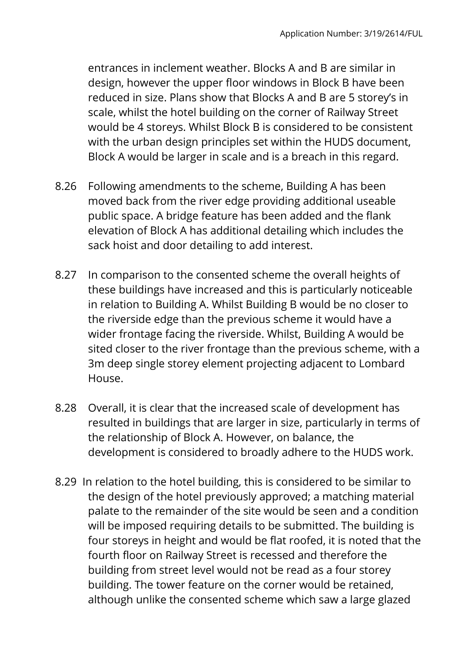entrances in inclement weather. Blocks A and B are similar in design, however the upper floor windows in Block B have been reduced in size. Plans show that Blocks A and B are 5 storey's in scale, whilst the hotel building on the corner of Railway Street would be 4 storeys. Whilst Block B is considered to be consistent with the urban design principles set within the HUDS document, Block A would be larger in scale and is a breach in this regard.

- 8.26 Following amendments to the scheme, Building A has been moved back from the river edge providing additional useable public space. A bridge feature has been added and the flank elevation of Block A has additional detailing which includes the sack hoist and door detailing to add interest.
- 8.27 In comparison to the consented scheme the overall heights of these buildings have increased and this is particularly noticeable in relation to Building A. Whilst Building B would be no closer to the riverside edge than the previous scheme it would have a wider frontage facing the riverside. Whilst, Building A would be sited closer to the river frontage than the previous scheme, with a 3m deep single storey element projecting adjacent to Lombard House.
- 8.28 Overall, it is clear that the increased scale of development has resulted in buildings that are larger in size, particularly in terms of the relationship of Block A. However, on balance, the development is considered to broadly adhere to the HUDS work.
- 8.29 In relation to the hotel building, this is considered to be similar to the design of the hotel previously approved; a matching material palate to the remainder of the site would be seen and a condition will be imposed requiring details to be submitted. The building is four storeys in height and would be flat roofed, it is noted that the fourth floor on Railway Street is recessed and therefore the building from street level would not be read as a four storey building. The tower feature on the corner would be retained, although unlike the consented scheme which saw a large glazed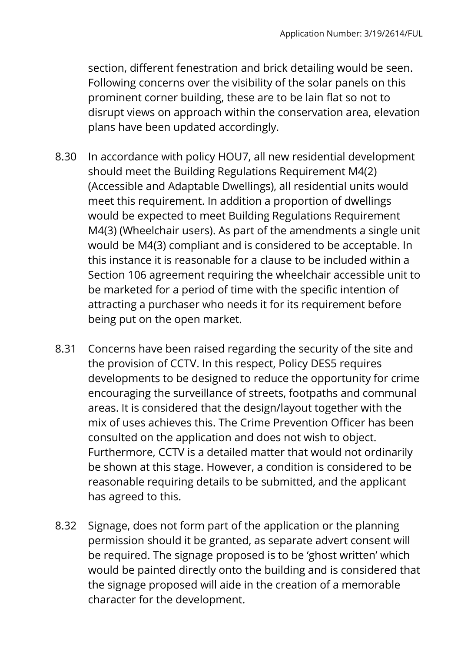section, different fenestration and brick detailing would be seen. Following concerns over the visibility of the solar panels on this prominent corner building, these are to be lain flat so not to disrupt views on approach within the conservation area, elevation plans have been updated accordingly.

- 8.30 In accordance with policy HOU7, all new residential development should meet the Building Regulations Requirement M4(2) (Accessible and Adaptable Dwellings), all residential units would meet this requirement. In addition a proportion of dwellings would be expected to meet Building Regulations Requirement M4(3) (Wheelchair users). As part of the amendments a single unit would be M4(3) compliant and is considered to be acceptable. In this instance it is reasonable for a clause to be included within a Section 106 agreement requiring the wheelchair accessible unit to be marketed for a period of time with the specific intention of attracting a purchaser who needs it for its requirement before being put on the open market.
- 8.31 Concerns have been raised regarding the security of the site and the provision of CCTV. In this respect, Policy DES5 requires developments to be designed to reduce the opportunity for crime encouraging the surveillance of streets, footpaths and communal areas. It is considered that the design/layout together with the mix of uses achieves this. The Crime Prevention Officer has been consulted on the application and does not wish to object. Furthermore, CCTV is a detailed matter that would not ordinarily be shown at this stage. However, a condition is considered to be reasonable requiring details to be submitted, and the applicant has agreed to this.
- 8.32 Signage, does not form part of the application or the planning permission should it be granted, as separate advert consent will be required. The signage proposed is to be 'ghost written' which would be painted directly onto the building and is considered that the signage proposed will aide in the creation of a memorable character for the development.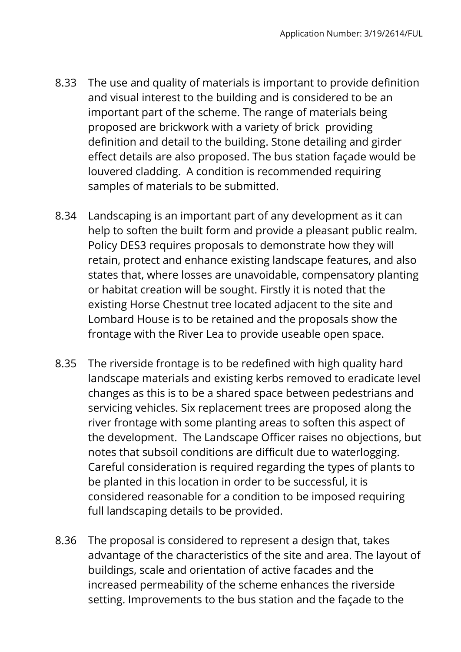- 8.33 The use and quality of materials is important to provide definition and visual interest to the building and is considered to be an important part of the scheme. The range of materials being proposed are brickwork with a variety of brick providing definition and detail to the building. Stone detailing and girder effect details are also proposed. The bus station façade would be louvered cladding. A condition is recommended requiring samples of materials to be submitted.
- 8.34 Landscaping is an important part of any development as it can help to soften the built form and provide a pleasant public realm. Policy DES3 requires proposals to demonstrate how they will retain, protect and enhance existing landscape features, and also states that, where losses are unavoidable, compensatory planting or habitat creation will be sought. Firstly it is noted that the existing Horse Chestnut tree located adjacent to the site and Lombard House is to be retained and the proposals show the frontage with the River Lea to provide useable open space.
- 8.35 The riverside frontage is to be redefined with high quality hard landscape materials and existing kerbs removed to eradicate level changes as this is to be a shared space between pedestrians and servicing vehicles. Six replacement trees are proposed along the river frontage with some planting areas to soften this aspect of the development. The Landscape Officer raises no objections, but notes that subsoil conditions are difficult due to waterlogging. Careful consideration is required regarding the types of plants to be planted in this location in order to be successful, it is considered reasonable for a condition to be imposed requiring full landscaping details to be provided.
- 8.36 The proposal is considered to represent a design that, takes advantage of the characteristics of the site and area. The layout of buildings, scale and orientation of active facades and the increased permeability of the scheme enhances the riverside setting. Improvements to the bus station and the façade to the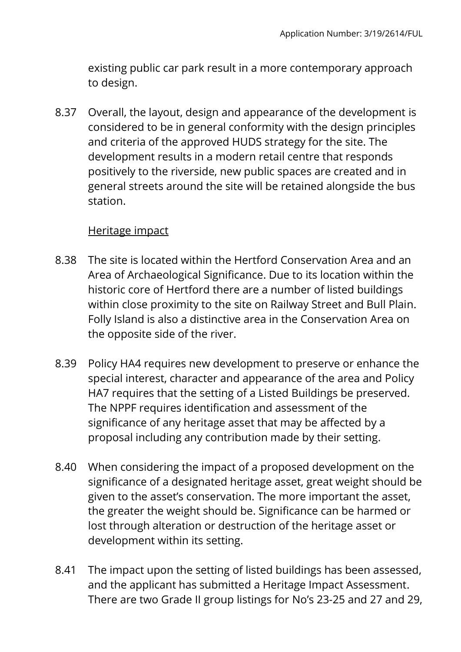existing public car park result in a more contemporary approach to design.

8.37 Overall, the layout, design and appearance of the development is considered to be in general conformity with the design principles and criteria of the approved HUDS strategy for the site. The development results in a modern retail centre that responds positively to the riverside, new public spaces are created and in general streets around the site will be retained alongside the bus station.

#### Heritage impact

- 8.38 The site is located within the Hertford Conservation Area and an Area of Archaeological Significance. Due to its location within the historic core of Hertford there are a number of listed buildings within close proximity to the site on Railway Street and Bull Plain. Folly Island is also a distinctive area in the Conservation Area on the opposite side of the river.
- 8.39 Policy HA4 requires new development to preserve or enhance the special interest, character and appearance of the area and Policy HA7 requires that the setting of a Listed Buildings be preserved. The NPPF requires identification and assessment of the significance of any heritage asset that may be affected by a proposal including any contribution made by their setting.
- 8.40 When considering the impact of a proposed development on the significance of a designated heritage asset, great weight should be given to the asset's conservation. The more important the asset, the greater the weight should be. Significance can be harmed or lost through alteration or destruction of the heritage asset or development within its setting.
- 8.41 The impact upon the setting of listed buildings has been assessed, and the applicant has submitted a Heritage Impact Assessment. There are two Grade II group listings for No's 23-25 and 27 and 29,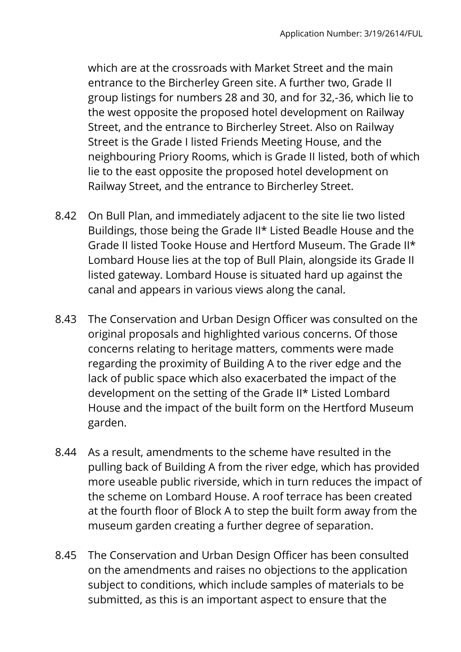which are at the crossroads with Market Street and the main entrance to the Bircherley Green site. A further two, Grade II group listings for numbers 28 and 30, and for 32,-36, which lie to the west opposite the proposed hotel development on Railway Street, and the entrance to Bircherley Street. Also on Railway Street is the Grade I listed Friends Meeting House, and the neighbouring Priory Rooms, which is Grade II listed, both of which lie to the east opposite the proposed hotel development on Railway Street, and the entrance to Bircherley Street.

- 8.42 On Bull Plan, and immediately adjacent to the site lie two listed Buildings, those being the Grade II\* Listed Beadle House and the Grade II listed Tooke House and Hertford Museum. The Grade II\* Lombard House lies at the top of Bull Plain, alongside its Grade II listed gateway. Lombard House is situated hard up against the canal and appears in various views along the canal.
- 8.43 The Conservation and Urban Design Officer was consulted on the original proposals and highlighted various concerns. Of those concerns relating to heritage matters, comments were made regarding the proximity of Building A to the river edge and the lack of public space which also exacerbated the impact of the development on the setting of the Grade II\* Listed Lombard House and the impact of the built form on the Hertford Museum garden.
- 8.44 As a result, amendments to the scheme have resulted in the pulling back of Building A from the river edge, which has provided more useable public riverside, which in turn reduces the impact of the scheme on Lombard House. A roof terrace has been created at the fourth floor of Block A to step the built form away from the museum garden creating a further degree of separation.
- 8.45 The Conservation and Urban Design Officer has been consulted on the amendments and raises no objections to the application subject to conditions, which include samples of materials to be submitted, as this is an important aspect to ensure that the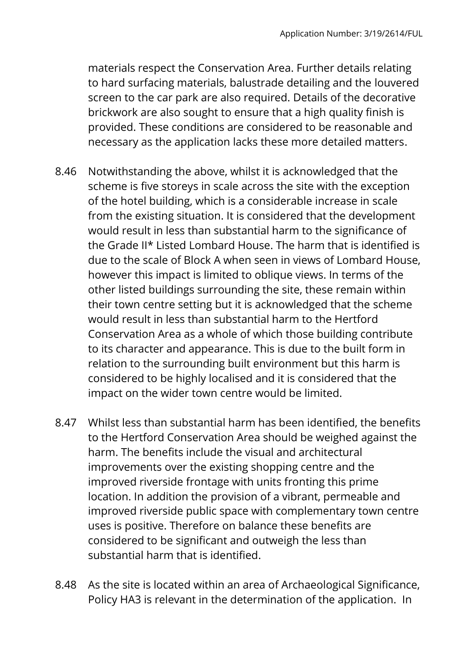materials respect the Conservation Area. Further details relating to hard surfacing materials, balustrade detailing and the louvered screen to the car park are also required. Details of the decorative brickwork are also sought to ensure that a high quality finish is provided. These conditions are considered to be reasonable and necessary as the application lacks these more detailed matters.

- 8.46 Notwithstanding the above, whilst it is acknowledged that the scheme is five storeys in scale across the site with the exception of the hotel building, which is a considerable increase in scale from the existing situation. It is considered that the development would result in less than substantial harm to the significance of the Grade II\* Listed Lombard House. The harm that is identified is due to the scale of Block A when seen in views of Lombard House, however this impact is limited to oblique views. In terms of the other listed buildings surrounding the site, these remain within their town centre setting but it is acknowledged that the scheme would result in less than substantial harm to the Hertford Conservation Area as a whole of which those building contribute to its character and appearance. This is due to the built form in relation to the surrounding built environment but this harm is considered to be highly localised and it is considered that the impact on the wider town centre would be limited.
- 8.47 Whilst less than substantial harm has been identified, the benefits to the Hertford Conservation Area should be weighed against the harm. The benefits include the visual and architectural improvements over the existing shopping centre and the improved riverside frontage with units fronting this prime location. In addition the provision of a vibrant, permeable and improved riverside public space with complementary town centre uses is positive. Therefore on balance these benefits are considered to be significant and outweigh the less than substantial harm that is identified.
- 8.48 As the site is located within an area of Archaeological Significance, Policy HA3 is relevant in the determination of the application. In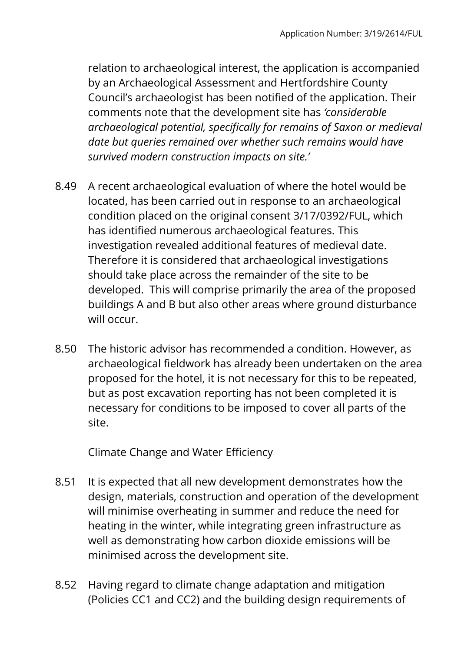relation to archaeological interest, the application is accompanied by an Archaeological Assessment and Hertfordshire County Council's archaeologist has been notified of the application. Their comments note that the development site has *'considerable archaeological potential, specifically for remains of Saxon or medieval date but queries remained over whether such remains would have survived modern construction impacts on site.'*

- 8.49 A recent archaeological evaluation of where the hotel would be located, has been carried out in response to an archaeological condition placed on the original consent 3/17/0392/FUL, which has identified numerous archaeological features. This investigation revealed additional features of medieval date. Therefore it is considered that archaeological investigations should take place across the remainder of the site to be developed. This will comprise primarily the area of the proposed buildings A and B but also other areas where ground disturbance will occur.
- 8.50 The historic advisor has recommended a condition. However, as archaeological fieldwork has already been undertaken on the area proposed for the hotel, it is not necessary for this to be repeated, but as post excavation reporting has not been completed it is necessary for conditions to be imposed to cover all parts of the site.

## Climate Change and Water Efficiency

- 8.51 It is expected that all new development demonstrates how the design, materials, construction and operation of the development will minimise overheating in summer and reduce the need for heating in the winter, while integrating green infrastructure as well as demonstrating how carbon dioxide emissions will be minimised across the development site.
- 8.52 Having regard to climate change adaptation and mitigation (Policies CC1 and CC2) and the building design requirements of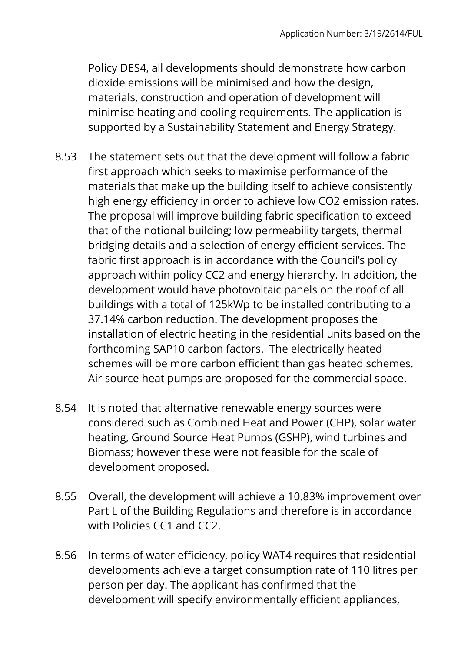Policy DES4, all developments should demonstrate how carbon dioxide emissions will be minimised and how the design, materials, construction and operation of development will minimise heating and cooling requirements. The application is supported by a Sustainability Statement and Energy Strategy.

- 8.53 The statement sets out that the development will follow a fabric first approach which seeks to maximise performance of the materials that make up the building itself to achieve consistently high energy efficiency in order to achieve low CO2 emission rates. The proposal will improve building fabric specification to exceed that of the notional building; low permeability targets, thermal bridging details and a selection of energy efficient services. The fabric first approach is in accordance with the Council's policy approach within policy CC2 and energy hierarchy. In addition, the development would have photovoltaic panels on the roof of all buildings with a total of 125kWp to be installed contributing to a 37.14% carbon reduction. The development proposes the installation of electric heating in the residential units based on the forthcoming SAP10 carbon factors. The electrically heated schemes will be more carbon efficient than gas heated schemes. Air source heat pumps are proposed for the commercial space.
- 8.54 It is noted that alternative renewable energy sources were considered such as Combined Heat and Power (CHP), solar water heating, Ground Source Heat Pumps (GSHP), wind turbines and Biomass; however these were not feasible for the scale of development proposed.
- 8.55 Overall, the development will achieve a 10.83% improvement over Part L of the Building Regulations and therefore is in accordance with Policies CC1 and CC2.
- 8.56 In terms of water efficiency, policy WAT4 requires that residential developments achieve a target consumption rate of 110 litres per person per day. The applicant has confirmed that the development will specify environmentally efficient appliances,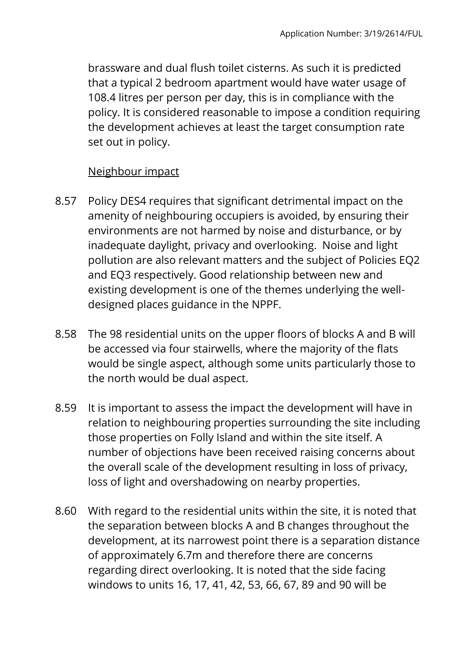brassware and dual flush toilet cisterns. As such it is predicted that a typical 2 bedroom apartment would have water usage of 108.4 litres per person per day, this is in compliance with the policy. It is considered reasonable to impose a condition requiring the development achieves at least the target consumption rate set out in policy.

#### Neighbour impact

- 8.57 Policy DES4 requires that significant detrimental impact on the amenity of neighbouring occupiers is avoided, by ensuring their environments are not harmed by noise and disturbance, or by inadequate daylight, privacy and overlooking. Noise and light pollution are also relevant matters and the subject of Policies EQ2 and EQ3 respectively. Good relationship between new and existing development is one of the themes underlying the welldesigned places guidance in the NPPF.
- 8.58 The 98 residential units on the upper floors of blocks A and B will be accessed via four stairwells, where the majority of the flats would be single aspect, although some units particularly those to the north would be dual aspect.
- 8.59 It is important to assess the impact the development will have in relation to neighbouring properties surrounding the site including those properties on Folly Island and within the site itself. A number of objections have been received raising concerns about the overall scale of the development resulting in loss of privacy, loss of light and overshadowing on nearby properties.
- 8.60 With regard to the residential units within the site, it is noted that the separation between blocks A and B changes throughout the development, at its narrowest point there is a separation distance of approximately 6.7m and therefore there are concerns regarding direct overlooking. It is noted that the side facing windows to units 16, 17, 41, 42, 53, 66, 67, 89 and 90 will be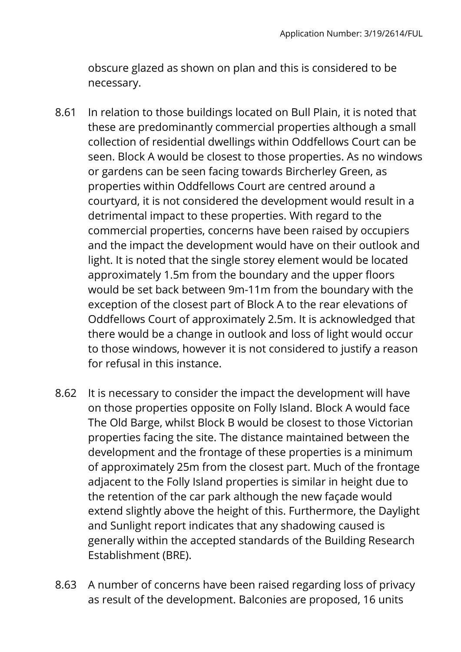obscure glazed as shown on plan and this is considered to be necessary.

- 8.61 In relation to those buildings located on Bull Plain, it is noted that these are predominantly commercial properties although a small collection of residential dwellings within Oddfellows Court can be seen. Block A would be closest to those properties. As no windows or gardens can be seen facing towards Bircherley Green, as properties within Oddfellows Court are centred around a courtyard, it is not considered the development would result in a detrimental impact to these properties. With regard to the commercial properties, concerns have been raised by occupiers and the impact the development would have on their outlook and light. It is noted that the single storey element would be located approximately 1.5m from the boundary and the upper floors would be set back between 9m-11m from the boundary with the exception of the closest part of Block A to the rear elevations of Oddfellows Court of approximately 2.5m. It is acknowledged that there would be a change in outlook and loss of light would occur to those windows, however it is not considered to justify a reason for refusal in this instance.
- 8.62 It is necessary to consider the impact the development will have on those properties opposite on Folly Island. Block A would face The Old Barge, whilst Block B would be closest to those Victorian properties facing the site. The distance maintained between the development and the frontage of these properties is a minimum of approximately 25m from the closest part. Much of the frontage adjacent to the Folly Island properties is similar in height due to the retention of the car park although the new façade would extend slightly above the height of this. Furthermore, the Daylight and Sunlight report indicates that any shadowing caused is generally within the accepted standards of the Building Research Establishment (BRE).
- 8.63 A number of concerns have been raised regarding loss of privacy as result of the development. Balconies are proposed, 16 units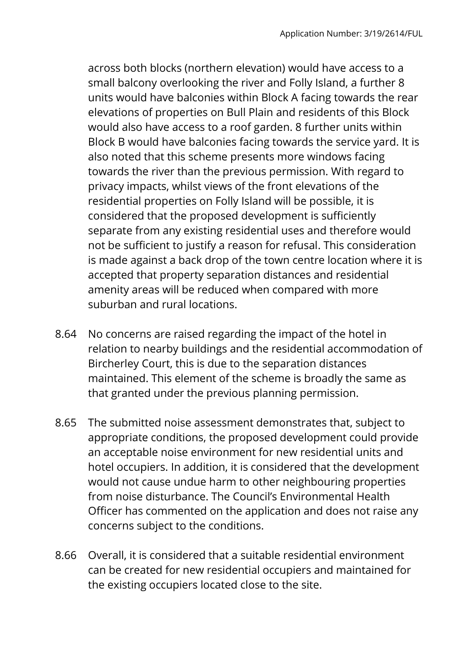across both blocks (northern elevation) would have access to a small balcony overlooking the river and Folly Island, a further 8 units would have balconies within Block A facing towards the rear elevations of properties on Bull Plain and residents of this Block would also have access to a roof garden. 8 further units within Block B would have balconies facing towards the service yard. It is also noted that this scheme presents more windows facing towards the river than the previous permission. With regard to privacy impacts, whilst views of the front elevations of the residential properties on Folly Island will be possible, it is considered that the proposed development is sufficiently separate from any existing residential uses and therefore would not be sufficient to justify a reason for refusal. This consideration is made against a back drop of the town centre location where it is accepted that property separation distances and residential amenity areas will be reduced when compared with more suburban and rural locations.

- 8.64 No concerns are raised regarding the impact of the hotel in relation to nearby buildings and the residential accommodation of Bircherley Court, this is due to the separation distances maintained. This element of the scheme is broadly the same as that granted under the previous planning permission.
- 8.65 The submitted noise assessment demonstrates that, subject to appropriate conditions, the proposed development could provide an acceptable noise environment for new residential units and hotel occupiers. In addition, it is considered that the development would not cause undue harm to other neighbouring properties from noise disturbance. The Council's Environmental Health Officer has commented on the application and does not raise any concerns subject to the conditions.
- 8.66 Overall, it is considered that a suitable residential environment can be created for new residential occupiers and maintained for the existing occupiers located close to the site.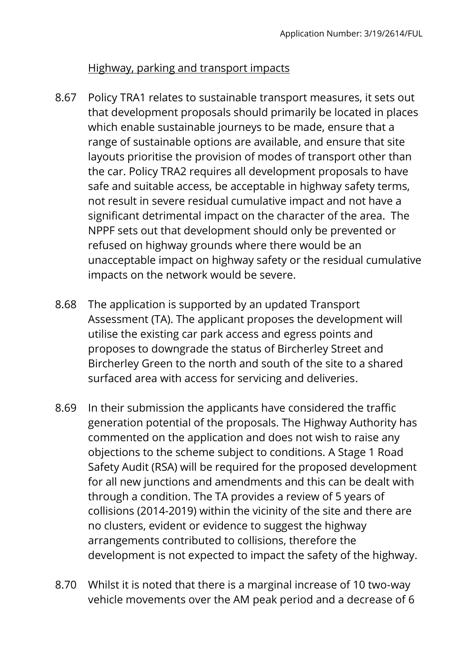#### Highway, parking and transport impacts

- 8.67 Policy TRA1 relates to sustainable transport measures, it sets out that development proposals should primarily be located in places which enable sustainable journeys to be made, ensure that a range of sustainable options are available, and ensure that site layouts prioritise the provision of modes of transport other than the car. Policy TRA2 requires all development proposals to have safe and suitable access, be acceptable in highway safety terms, not result in severe residual cumulative impact and not have a significant detrimental impact on the character of the area. The NPPF sets out that development should only be prevented or refused on highway grounds where there would be an unacceptable impact on highway safety or the residual cumulative impacts on the network would be severe.
- 8.68 The application is supported by an updated Transport Assessment (TA). The applicant proposes the development will utilise the existing car park access and egress points and proposes to downgrade the status of Bircherley Street and Bircherley Green to the north and south of the site to a shared surfaced area with access for servicing and deliveries.
- 8.69 In their submission the applicants have considered the traffic generation potential of the proposals. The Highway Authority has commented on the application and does not wish to raise any objections to the scheme subject to conditions. A Stage 1 Road Safety Audit (RSA) will be required for the proposed development for all new junctions and amendments and this can be dealt with through a condition. The TA provides a review of 5 years of collisions (2014-2019) within the vicinity of the site and there are no clusters, evident or evidence to suggest the highway arrangements contributed to collisions, therefore the development is not expected to impact the safety of the highway.
- 8.70 Whilst it is noted that there is a marginal increase of 10 two-way vehicle movements over the AM peak period and a decrease of 6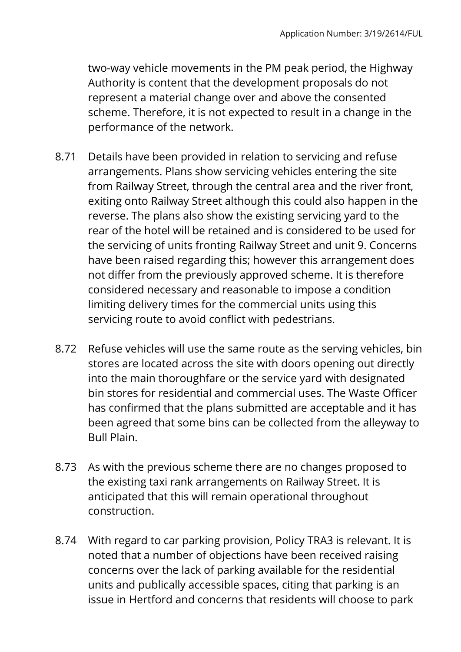two-way vehicle movements in the PM peak period, the Highway Authority is content that the development proposals do not represent a material change over and above the consented scheme. Therefore, it is not expected to result in a change in the performance of the network.

- 8.71 Details have been provided in relation to servicing and refuse arrangements. Plans show servicing vehicles entering the site from Railway Street, through the central area and the river front, exiting onto Railway Street although this could also happen in the reverse. The plans also show the existing servicing yard to the rear of the hotel will be retained and is considered to be used for the servicing of units fronting Railway Street and unit 9. Concerns have been raised regarding this; however this arrangement does not differ from the previously approved scheme. It is therefore considered necessary and reasonable to impose a condition limiting delivery times for the commercial units using this servicing route to avoid conflict with pedestrians.
- 8.72 Refuse vehicles will use the same route as the serving vehicles, bin stores are located across the site with doors opening out directly into the main thoroughfare or the service yard with designated bin stores for residential and commercial uses. The Waste Officer has confirmed that the plans submitted are acceptable and it has been agreed that some bins can be collected from the alleyway to Bull Plain.
- 8.73 As with the previous scheme there are no changes proposed to the existing taxi rank arrangements on Railway Street. It is anticipated that this will remain operational throughout construction.
- 8.74 With regard to car parking provision, Policy TRA3 is relevant. It is noted that a number of objections have been received raising concerns over the lack of parking available for the residential units and publically accessible spaces, citing that parking is an issue in Hertford and concerns that residents will choose to park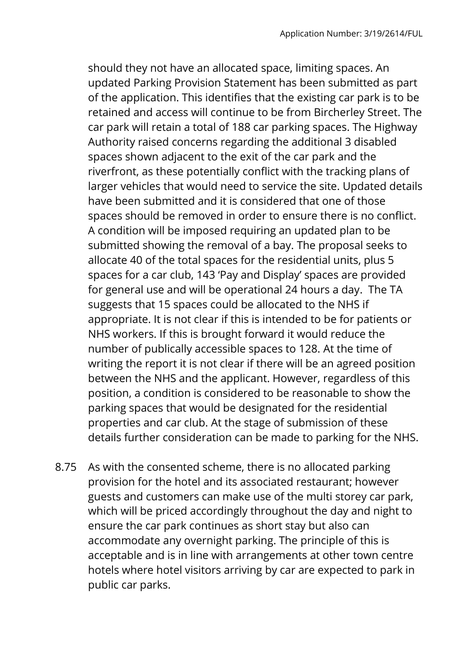should they not have an allocated space, limiting spaces. An updated Parking Provision Statement has been submitted as part of the application. This identifies that the existing car park is to be retained and access will continue to be from Bircherley Street. The car park will retain a total of 188 car parking spaces. The Highway Authority raised concerns regarding the additional 3 disabled spaces shown adjacent to the exit of the car park and the riverfront, as these potentially conflict with the tracking plans of larger vehicles that would need to service the site. Updated details have been submitted and it is considered that one of those spaces should be removed in order to ensure there is no conflict. A condition will be imposed requiring an updated plan to be submitted showing the removal of a bay. The proposal seeks to allocate 40 of the total spaces for the residential units, plus 5 spaces for a car club, 143 'Pay and Display' spaces are provided for general use and will be operational 24 hours a day. The TA suggests that 15 spaces could be allocated to the NHS if appropriate. It is not clear if this is intended to be for patients or NHS workers. If this is brought forward it would reduce the number of publically accessible spaces to 128. At the time of writing the report it is not clear if there will be an agreed position between the NHS and the applicant. However, regardless of this position, a condition is considered to be reasonable to show the parking spaces that would be designated for the residential properties and car club. At the stage of submission of these details further consideration can be made to parking for the NHS.

8.75 As with the consented scheme, there is no allocated parking provision for the hotel and its associated restaurant; however guests and customers can make use of the multi storey car park, which will be priced accordingly throughout the day and night to ensure the car park continues as short stay but also can accommodate any overnight parking. The principle of this is acceptable and is in line with arrangements at other town centre hotels where hotel visitors arriving by car are expected to park in public car parks.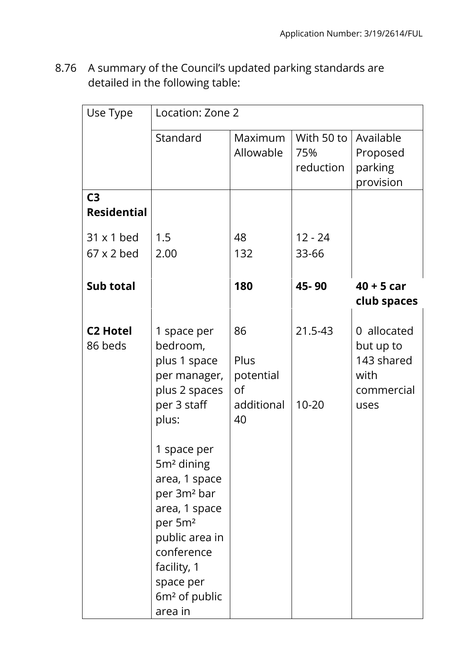8.76 A summary of the Council's updated parking standards are detailed in the following table:

| Use Type           | Location: Zone 2        |                  |            |              |  |  |
|--------------------|-------------------------|------------------|------------|--------------|--|--|
|                    | Standard                | Maximum          | With 50 to | Available    |  |  |
|                    |                         | Allowable        | 75%        | Proposed     |  |  |
|                    |                         |                  | reduction  | parking      |  |  |
|                    |                         |                  |            | provision    |  |  |
| C <sub>3</sub>     |                         |                  |            |              |  |  |
| <b>Residential</b> |                         |                  |            |              |  |  |
| $31 \times 1$ bed  | 1.5                     | 48               | $12 - 24$  |              |  |  |
| $67 \times 2$ bed  | 2.00                    | 132              | 33-66      |              |  |  |
|                    |                         |                  |            |              |  |  |
| Sub total          |                         | 180              | 45-90      | $40 + 5$ car |  |  |
|                    |                         |                  |            | club spaces  |  |  |
|                    |                         |                  |            |              |  |  |
| <b>C2 Hotel</b>    | 1 space per             | 86               | 21.5-43    | 0 allocated  |  |  |
| 86 beds            | bedroom,                |                  |            | but up to    |  |  |
|                    | plus 1 space            | Plus             |            | 143 shared   |  |  |
|                    | per manager,            | potential        |            | with         |  |  |
|                    | plus 2 spaces           | of               |            | commercial   |  |  |
|                    | per 3 staff             | additional<br>40 | $10 - 20$  | uses         |  |  |
|                    | plus:                   |                  |            |              |  |  |
|                    | 1 space per             |                  |            |              |  |  |
|                    | 5m <sup>2</sup> dining  |                  |            |              |  |  |
|                    | area, 1 space           |                  |            |              |  |  |
|                    | per 3m <sup>2</sup> bar |                  |            |              |  |  |
|                    | area, 1 space           |                  |            |              |  |  |
|                    | per 5m <sup>2</sup>     |                  |            |              |  |  |
|                    | public area in          |                  |            |              |  |  |
|                    | conference              |                  |            |              |  |  |
|                    | facility, 1             |                  |            |              |  |  |
|                    | space per               |                  |            |              |  |  |
|                    | $6m2$ of public         |                  |            |              |  |  |
|                    | area in                 |                  |            |              |  |  |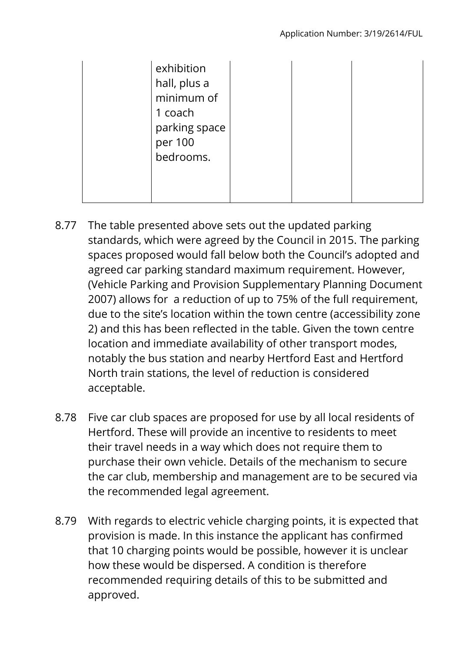| exhibition<br>hall, plus a<br>minimum of<br>1 coach<br>parking space<br>per 100<br>bedrooms. |  |  |
|----------------------------------------------------------------------------------------------|--|--|
|                                                                                              |  |  |

- 8.77 The table presented above sets out the updated parking standards, which were agreed by the Council in 2015. The parking spaces proposed would fall below both the Council's adopted and agreed car parking standard maximum requirement. However, (Vehicle Parking and Provision Supplementary Planning Document 2007) allows for a reduction of up to 75% of the full requirement, due to the site's location within the town centre (accessibility zone 2) and this has been reflected in the table. Given the town centre location and immediate availability of other transport modes, notably the bus station and nearby Hertford East and Hertford North train stations, the level of reduction is considered acceptable.
- 8.78 Five car club spaces are proposed for use by all local residents of Hertford. These will provide an incentive to residents to meet their travel needs in a way which does not require them to purchase their own vehicle. Details of the mechanism to secure the car club, membership and management are to be secured via the recommended legal agreement.
- 8.79 With regards to electric vehicle charging points, it is expected that provision is made. In this instance the applicant has confirmed that 10 charging points would be possible, however it is unclear how these would be dispersed. A condition is therefore recommended requiring details of this to be submitted and approved.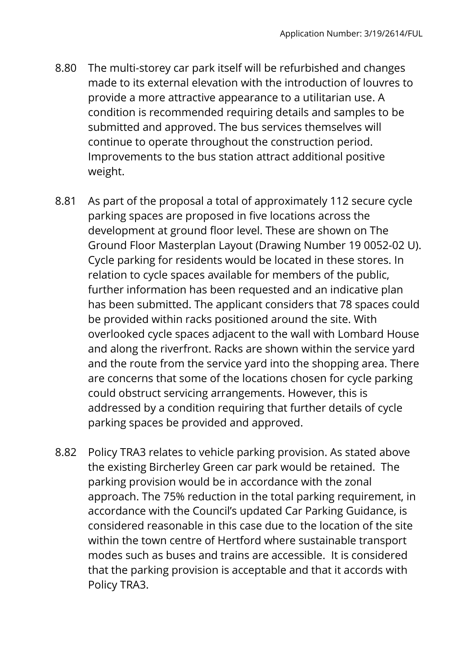- 8.80 The multi-storey car park itself will be refurbished and changes made to its external elevation with the introduction of louvres to provide a more attractive appearance to a utilitarian use. A condition is recommended requiring details and samples to be submitted and approved. The bus services themselves will continue to operate throughout the construction period. Improvements to the bus station attract additional positive weight.
- 8.81 As part of the proposal a total of approximately 112 secure cycle parking spaces are proposed in five locations across the development at ground floor level. These are shown on The Ground Floor Masterplan Layout (Drawing Number 19 0052-02 U). Cycle parking for residents would be located in these stores. In relation to cycle spaces available for members of the public, further information has been requested and an indicative plan has been submitted. The applicant considers that 78 spaces could be provided within racks positioned around the site. With overlooked cycle spaces adjacent to the wall with Lombard House and along the riverfront. Racks are shown within the service yard and the route from the service yard into the shopping area. There are concerns that some of the locations chosen for cycle parking could obstruct servicing arrangements. However, this is addressed by a condition requiring that further details of cycle parking spaces be provided and approved.
- 8.82 Policy TRA3 relates to vehicle parking provision. As stated above the existing Bircherley Green car park would be retained. The parking provision would be in accordance with the zonal approach. The 75% reduction in the total parking requirement, in accordance with the Council's updated Car Parking Guidance, is considered reasonable in this case due to the location of the site within the town centre of Hertford where sustainable transport modes such as buses and trains are accessible. It is considered that the parking provision is acceptable and that it accords with Policy TRA3.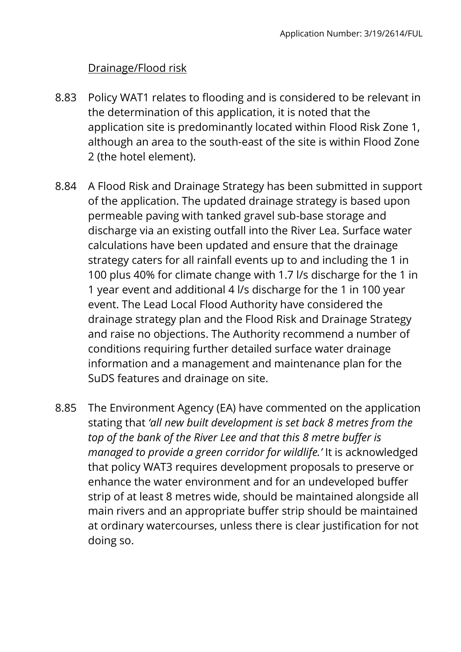## Drainage/Flood risk

- 8.83 Policy WAT1 relates to flooding and is considered to be relevant in the determination of this application, it is noted that the application site is predominantly located within Flood Risk Zone 1, although an area to the south-east of the site is within Flood Zone 2 (the hotel element).
- 8.84 A Flood Risk and Drainage Strategy has been submitted in support of the application. The updated drainage strategy is based upon permeable paving with tanked gravel sub-base storage and discharge via an existing outfall into the River Lea. Surface water calculations have been updated and ensure that the drainage strategy caters for all rainfall events up to and including the 1 in 100 plus 40% for climate change with 1.7 l/s discharge for the 1 in 1 year event and additional 4 l/s discharge for the 1 in 100 year event. The Lead Local Flood Authority have considered the drainage strategy plan and the Flood Risk and Drainage Strategy and raise no objections. The Authority recommend a number of conditions requiring further detailed surface water drainage information and a management and maintenance plan for the SuDS features and drainage on site.
- 8.85 The Environment Agency (EA) have commented on the application stating that *'all new built development is set back 8 metres from the top of the bank of the River Lee and that this 8 metre buffer is managed to provide a green corridor for wildlife.'* It is acknowledged that policy WAT3 requires development proposals to preserve or enhance the water environment and for an undeveloped buffer strip of at least 8 metres wide, should be maintained alongside all main rivers and an appropriate buffer strip should be maintained at ordinary watercourses, unless there is clear justification for not doing so.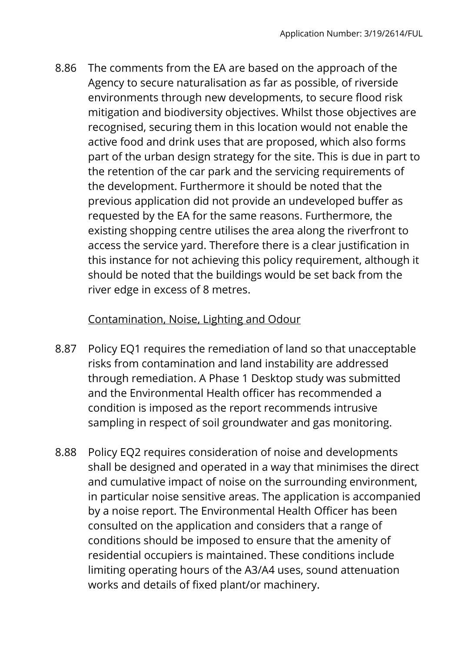8.86 The comments from the EA are based on the approach of the Agency to secure naturalisation as far as possible, of riverside environments through new developments, to secure flood risk mitigation and biodiversity objectives. Whilst those objectives are recognised, securing them in this location would not enable the active food and drink uses that are proposed, which also forms part of the urban design strategy for the site. This is due in part to the retention of the car park and the servicing requirements of the development. Furthermore it should be noted that the previous application did not provide an undeveloped buffer as requested by the EA for the same reasons. Furthermore, the existing shopping centre utilises the area along the riverfront to access the service yard. Therefore there is a clear justification in this instance for not achieving this policy requirement, although it should be noted that the buildings would be set back from the river edge in excess of 8 metres.

## Contamination, Noise, Lighting and Odour

- 8.87 Policy EQ1 requires the remediation of land so that unacceptable risks from contamination and land instability are addressed through remediation. A Phase 1 Desktop study was submitted and the Environmental Health officer has recommended a condition is imposed as the report recommends intrusive sampling in respect of soil groundwater and gas monitoring.
- 8.88 Policy EQ2 requires consideration of noise and developments shall be designed and operated in a way that minimises the direct and cumulative impact of noise on the surrounding environment, in particular noise sensitive areas. The application is accompanied by a noise report. The Environmental Health Officer has been consulted on the application and considers that a range of conditions should be imposed to ensure that the amenity of residential occupiers is maintained. These conditions include limiting operating hours of the A3/A4 uses, sound attenuation works and details of fixed plant/or machinery.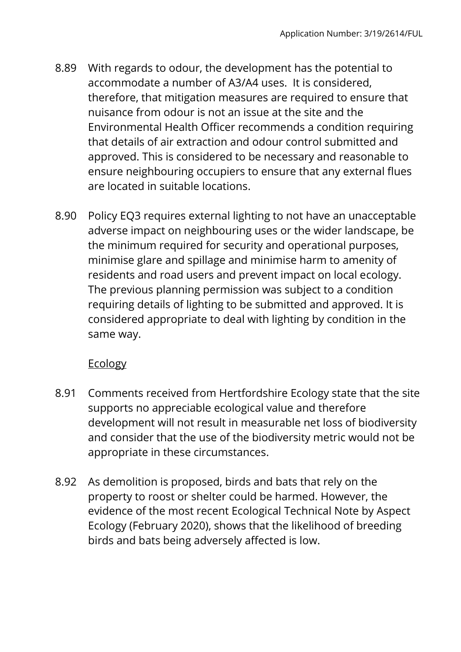- 8.89 With regards to odour, the development has the potential to accommodate a number of A3/A4 uses. It is considered, therefore, that mitigation measures are required to ensure that nuisance from odour is not an issue at the site and the Environmental Health Officer recommends a condition requiring that details of air extraction and odour control submitted and approved. This is considered to be necessary and reasonable to ensure neighbouring occupiers to ensure that any external flues are located in suitable locations.
- 8.90 Policy EQ3 requires external lighting to not have an unacceptable adverse impact on neighbouring uses or the wider landscape, be the minimum required for security and operational purposes, minimise glare and spillage and minimise harm to amenity of residents and road users and prevent impact on local ecology. The previous planning permission was subject to a condition requiring details of lighting to be submitted and approved. It is considered appropriate to deal with lighting by condition in the same way.

# **Ecology**

- 8.91 Comments received from Hertfordshire Ecology state that the site supports no appreciable ecological value and therefore development will not result in measurable net loss of biodiversity and consider that the use of the biodiversity metric would not be appropriate in these circumstances.
- 8.92 As demolition is proposed, birds and bats that rely on the property to roost or shelter could be harmed. However, the evidence of the most recent Ecological Technical Note by Aspect Ecology (February 2020), shows that the likelihood of breeding birds and bats being adversely affected is low.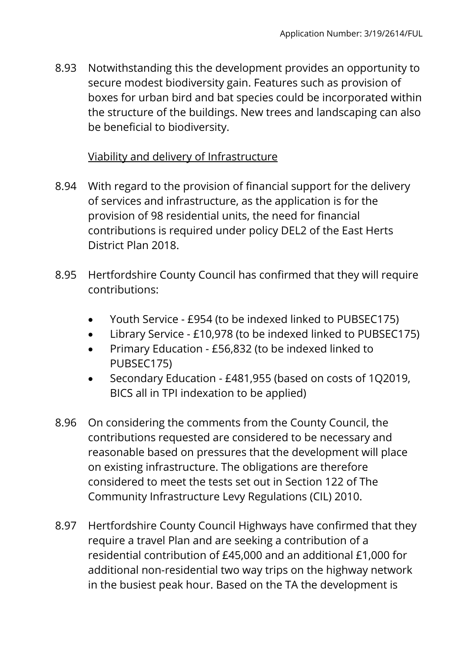8.93 Notwithstanding this the development provides an opportunity to secure modest biodiversity gain. Features such as provision of boxes for urban bird and bat species could be incorporated within the structure of the buildings. New trees and landscaping can also be beneficial to biodiversity.

## Viability and delivery of Infrastructure

- 8.94 With regard to the provision of financial support for the delivery of services and infrastructure, as the application is for the provision of 98 residential units, the need for financial contributions is required under policy DEL2 of the East Herts District Plan 2018.
- 8.95 Hertfordshire County Council has confirmed that they will require contributions:
	- Youth Service £954 (to be indexed linked to PUBSEC175)
	- Library Service £10,978 (to be indexed linked to PUBSEC175)
	- Primary Education £56,832 (to be indexed linked to PUBSEC175)
	- Secondary Education £481,955 (based on costs of 1Q2019, BICS all in TPI indexation to be applied)
- 8.96 On considering the comments from the County Council, the contributions requested are considered to be necessary and reasonable based on pressures that the development will place on existing infrastructure. The obligations are therefore considered to meet the tests set out in Section 122 of The Community Infrastructure Levy Regulations (CIL) 2010.
- 8.97 Hertfordshire County Council Highways have confirmed that they require a travel Plan and are seeking a contribution of a residential contribution of £45,000 and an additional £1,000 for additional non-residential two way trips on the highway network in the busiest peak hour. Based on the TA the development is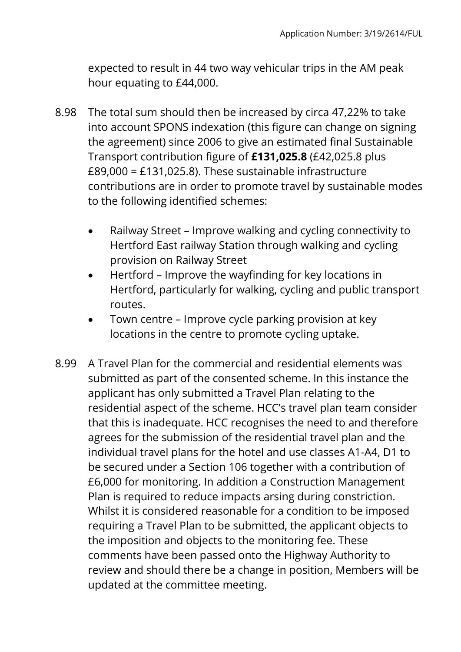expected to result in 44 two way vehicular trips in the AM peak hour equating to £44,000.

- 8.98 The total sum should then be increased by circa 47,22% to take into account SPONS indexation (this figure can change on signing the agreement) since 2006 to give an estimated final Sustainable Transport contribution figure of **£131,025.8** (£42,025.8 plus £89,000 = £131,025.8). These sustainable infrastructure contributions are in order to promote travel by sustainable modes to the following identified schemes:
	- Railway Street Improve walking and cycling connectivity to Hertford East railway Station through walking and cycling provision on Railway Street
	- Hertford Improve the wayfinding for key locations in Hertford, particularly for walking, cycling and public transport routes.
	- Town centre Improve cycle parking provision at key locations in the centre to promote cycling uptake.
- 8.99 A Travel Plan for the commercial and residential elements was submitted as part of the consented scheme. In this instance the applicant has only submitted a Travel Plan relating to the residential aspect of the scheme. HCC's travel plan team consider that this is inadequate. HCC recognises the need to and therefore agrees for the submission of the residential travel plan and the individual travel plans for the hotel and use classes A1-A4, D1 to be secured under a Section 106 together with a contribution of £6,000 for monitoring. In addition a Construction Management Plan is required to reduce impacts arsing during constriction. Whilst it is considered reasonable for a condition to be imposed requiring a Travel Plan to be submitted, the applicant objects to the imposition and objects to the monitoring fee. These comments have been passed onto the Highway Authority to review and should there be a change in position, Members will be updated at the committee meeting.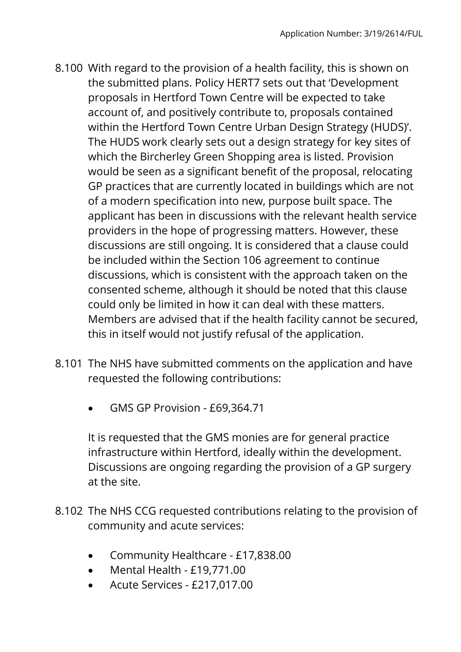- 8.100 With regard to the provision of a health facility, this is shown on the submitted plans. Policy HERT7 sets out that 'Development proposals in Hertford Town Centre will be expected to take account of, and positively contribute to, proposals contained within the Hertford Town Centre Urban Design Strategy (HUDS)'. The HUDS work clearly sets out a design strategy for key sites of which the Bircherley Green Shopping area is listed. Provision would be seen as a significant benefit of the proposal, relocating GP practices that are currently located in buildings which are not of a modern specification into new, purpose built space. The applicant has been in discussions with the relevant health service providers in the hope of progressing matters. However, these discussions are still ongoing. It is considered that a clause could be included within the Section 106 agreement to continue discussions, which is consistent with the approach taken on the consented scheme, although it should be noted that this clause could only be limited in how it can deal with these matters. Members are advised that if the health facility cannot be secured, this in itself would not justify refusal of the application.
- 8.101 The NHS have submitted comments on the application and have requested the following contributions:
	- GMS GP Provision £69,364.71

It is requested that the GMS monies are for general practice infrastructure within Hertford, ideally within the development. Discussions are ongoing regarding the provision of a GP surgery at the site.

- 8.102 The NHS CCG requested contributions relating to the provision of community and acute services:
	- Community Healthcare £17,838.00
	- Mental Health £19,771.00
	- Acute Services £217,017.00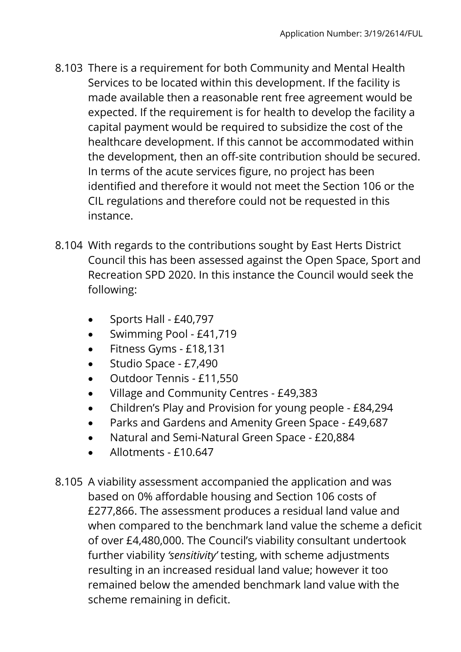- 8.103 There is a requirement for both Community and Mental Health Services to be located within this development. If the facility is made available then a reasonable rent free agreement would be expected. If the requirement is for health to develop the facility a capital payment would be required to subsidize the cost of the healthcare development. If this cannot be accommodated within the development, then an off-site contribution should be secured. In terms of the acute services figure, no project has been identified and therefore it would not meet the Section 106 or the CIL regulations and therefore could not be requested in this instance.
- 8.104 With regards to the contributions sought by East Herts District Council this has been assessed against the Open Space, Sport and Recreation SPD 2020. In this instance the Council would seek the following:
	- $\bullet$  Sports Hall £40,797
	- Swimming Pool £41,719
	- Fitness Gyms £18,131
	- Studio Space £7,490
	- Outdoor Tennis £11,550
	- Village and Community Centres £49,383
	- Children's Play and Provision for young people £84,294
	- Parks and Gardens and Amenity Green Space £49,687
	- Natural and Semi-Natural Green Space £20,884
	- Allotments £10.647
- 8.105 A viability assessment accompanied the application and was based on 0% affordable housing and Section 106 costs of £277,866. The assessment produces a residual land value and when compared to the benchmark land value the scheme a deficit of over £4,480,000. The Council's viability consultant undertook further viability *'sensitivity'* testing, with scheme adjustments resulting in an increased residual land value; however it too remained below the amended benchmark land value with the scheme remaining in deficit.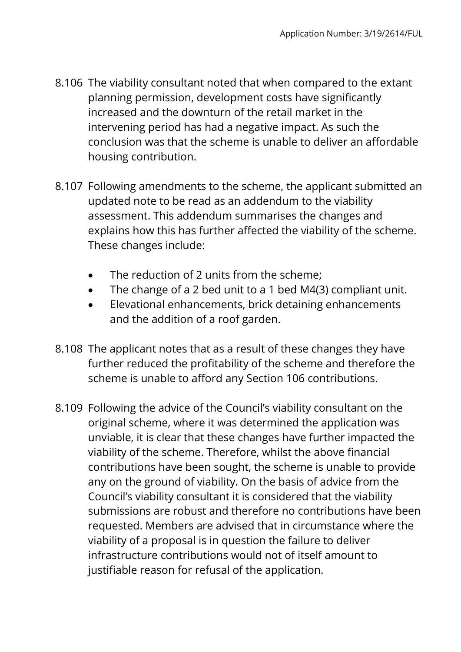- 8.106 The viability consultant noted that when compared to the extant planning permission, development costs have significantly increased and the downturn of the retail market in the intervening period has had a negative impact. As such the conclusion was that the scheme is unable to deliver an affordable housing contribution.
- 8.107 Following amendments to the scheme, the applicant submitted an updated note to be read as an addendum to the viability assessment. This addendum summarises the changes and explains how this has further affected the viability of the scheme. These changes include:
	- The reduction of 2 units from the scheme;
	- The change of a 2 bed unit to a 1 bed M4(3) compliant unit.
	- Elevational enhancements, brick detaining enhancements and the addition of a roof garden.
- 8.108 The applicant notes that as a result of these changes they have further reduced the profitability of the scheme and therefore the scheme is unable to afford any Section 106 contributions.
- 8.109 Following the advice of the Council's viability consultant on the original scheme, where it was determined the application was unviable, it is clear that these changes have further impacted the viability of the scheme. Therefore, whilst the above financial contributions have been sought, the scheme is unable to provide any on the ground of viability. On the basis of advice from the Council's viability consultant it is considered that the viability submissions are robust and therefore no contributions have been requested. Members are advised that in circumstance where the viability of a proposal is in question the failure to deliver infrastructure contributions would not of itself amount to justifiable reason for refusal of the application.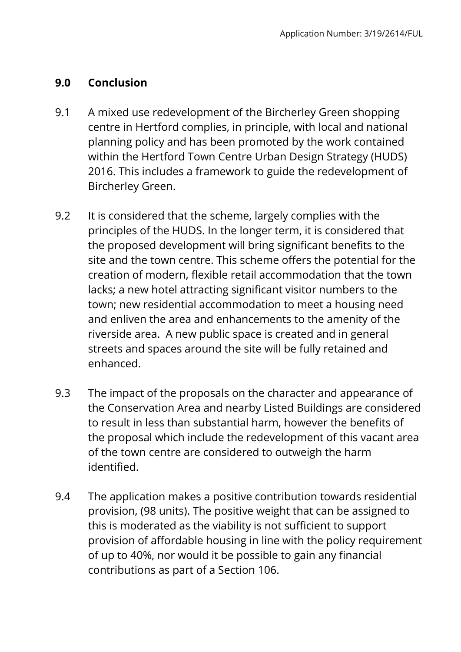#### **9.0 Conclusion**

- 9.1 A mixed use redevelopment of the Bircherley Green shopping centre in Hertford complies, in principle, with local and national planning policy and has been promoted by the work contained within the Hertford Town Centre Urban Design Strategy (HUDS) 2016. This includes a framework to guide the redevelopment of Bircherley Green.
- 9.2 It is considered that the scheme, largely complies with the principles of the HUDS. In the longer term, it is considered that the proposed development will bring significant benefits to the site and the town centre. This scheme offers the potential for the creation of modern, flexible retail accommodation that the town lacks; a new hotel attracting significant visitor numbers to the town; new residential accommodation to meet a housing need and enliven the area and enhancements to the amenity of the riverside area. A new public space is created and in general streets and spaces around the site will be fully retained and enhanced.
- 9.3 The impact of the proposals on the character and appearance of the Conservation Area and nearby Listed Buildings are considered to result in less than substantial harm, however the benefits of the proposal which include the redevelopment of this vacant area of the town centre are considered to outweigh the harm identified.
- 9.4 The application makes a positive contribution towards residential provision, (98 units). The positive weight that can be assigned to this is moderated as the viability is not sufficient to support provision of affordable housing in line with the policy requirement of up to 40%, nor would it be possible to gain any financial contributions as part of a Section 106.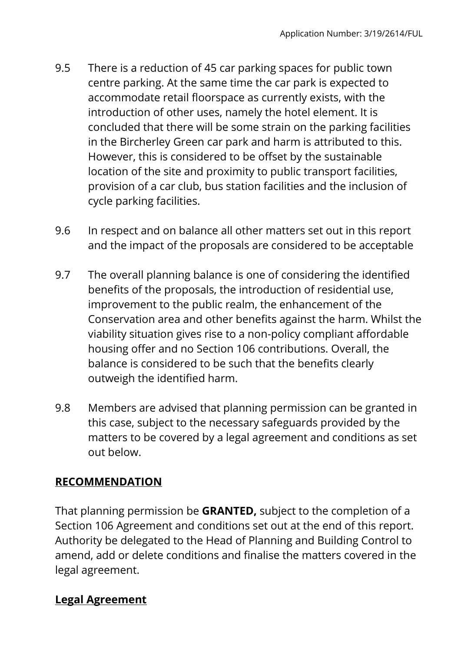- 9.5 There is a reduction of 45 car parking spaces for public town centre parking. At the same time the car park is expected to accommodate retail floorspace as currently exists, with the introduction of other uses, namely the hotel element. It is concluded that there will be some strain on the parking facilities in the Bircherley Green car park and harm is attributed to this. However, this is considered to be offset by the sustainable location of the site and proximity to public transport facilities, provision of a car club, bus station facilities and the inclusion of cycle parking facilities.
- 9.6 In respect and on balance all other matters set out in this report and the impact of the proposals are considered to be acceptable
- 9.7 The overall planning balance is one of considering the identified benefits of the proposals, the introduction of residential use, improvement to the public realm, the enhancement of the Conservation area and other benefits against the harm. Whilst the viability situation gives rise to a non-policy compliant affordable housing offer and no Section 106 contributions. Overall, the balance is considered to be such that the benefits clearly outweigh the identified harm.
- 9.8 Members are advised that planning permission can be granted in this case, subject to the necessary safeguards provided by the matters to be covered by a legal agreement and conditions as set out below.

# **RECOMMENDATION**

That planning permission be **GRANTED,** subject to the completion of a Section 106 Agreement and conditions set out at the end of this report. Authority be delegated to the Head of Planning and Building Control to amend, add or delete conditions and finalise the matters covered in the legal agreement.

# **Legal Agreement**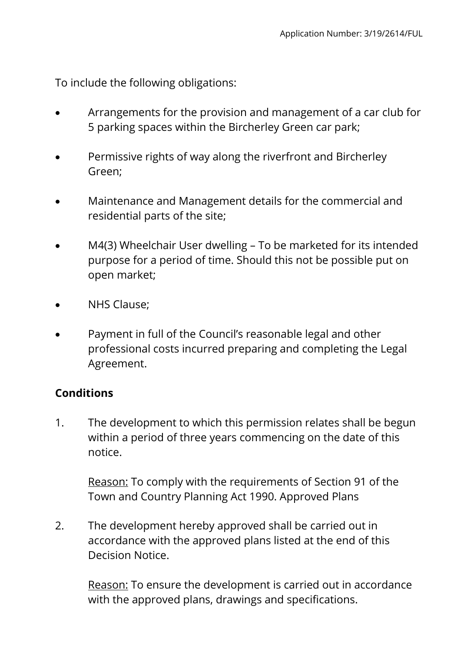To include the following obligations:

- Arrangements for the provision and management of a car club for 5 parking spaces within the Bircherley Green car park;
- Permissive rights of way along the riverfront and Bircherley Green;
- Maintenance and Management details for the commercial and residential parts of the site;
- M4(3) Wheelchair User dwelling To be marketed for its intended purpose for a period of time. Should this not be possible put on open market;
- NHS Clause;
- Payment in full of the Council's reasonable legal and other professional costs incurred preparing and completing the Legal Agreement.

## **Conditions**

1. The development to which this permission relates shall be begun within a period of three years commencing on the date of this notice.

Reason: To comply with the requirements of Section 91 of the Town and Country Planning Act 1990. Approved Plans

2. The development hereby approved shall be carried out in accordance with the approved plans listed at the end of this Decision Notice.

Reason: To ensure the development is carried out in accordance with the approved plans, drawings and specifications.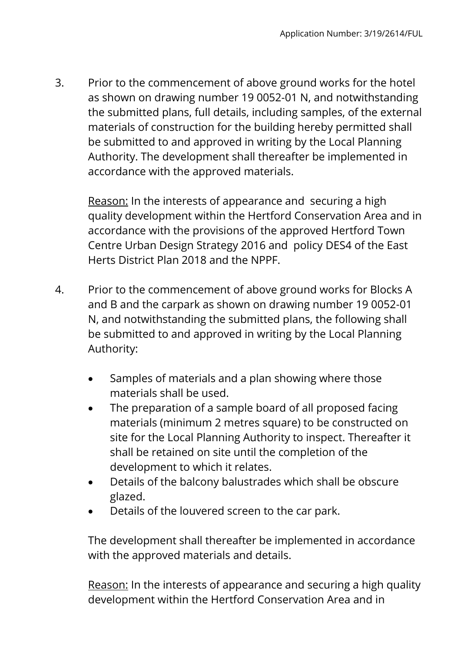3. Prior to the commencement of above ground works for the hotel as shown on drawing number 19 0052-01 N, and notwithstanding the submitted plans, full details, including samples, of the external materials of construction for the building hereby permitted shall be submitted to and approved in writing by the Local Planning Authority. The development shall thereafter be implemented in accordance with the approved materials.

Reason: In the interests of appearance and securing a high quality development within the Hertford Conservation Area and in accordance with the provisions of the approved Hertford Town Centre Urban Design Strategy 2016 and policy DES4 of the East Herts District Plan 2018 and the NPPF.

- 4. Prior to the commencement of above ground works for Blocks A and B and the carpark as shown on drawing number 19 0052-01 N, and notwithstanding the submitted plans, the following shall be submitted to and approved in writing by the Local Planning Authority:
	- Samples of materials and a plan showing where those materials shall be used.
	- The preparation of a sample board of all proposed facing materials (minimum 2 metres square) to be constructed on site for the Local Planning Authority to inspect. Thereafter it shall be retained on site until the completion of the development to which it relates.
	- Details of the balcony balustrades which shall be obscure glazed.
	- Details of the louvered screen to the car park.

The development shall thereafter be implemented in accordance with the approved materials and details.

Reason: In the interests of appearance and securing a high quality development within the Hertford Conservation Area and in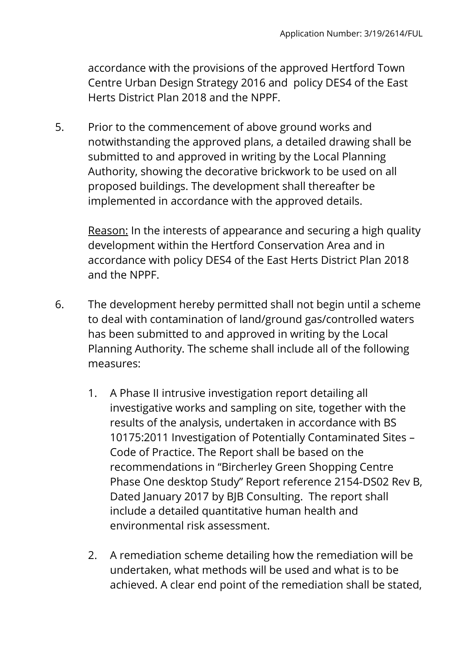accordance with the provisions of the approved Hertford Town Centre Urban Design Strategy 2016 and policy DES4 of the East Herts District Plan 2018 and the NPPF.

5. Prior to the commencement of above ground works and notwithstanding the approved plans, a detailed drawing shall be submitted to and approved in writing by the Local Planning Authority, showing the decorative brickwork to be used on all proposed buildings. The development shall thereafter be implemented in accordance with the approved details.

Reason: In the interests of appearance and securing a high quality development within the Hertford Conservation Area and in accordance with policy DES4 of the East Herts District Plan 2018 and the NPPF.

- 6. The development hereby permitted shall not begin until a scheme to deal with contamination of land/ground gas/controlled waters has been submitted to and approved in writing by the Local Planning Authority. The scheme shall include all of the following measures:
	- 1. A Phase II intrusive investigation report detailing all investigative works and sampling on site, together with the results of the analysis, undertaken in accordance with BS 10175:2011 Investigation of Potentially Contaminated Sites – Code of Practice. The Report shall be based on the recommendations in "Bircherley Green Shopping Centre Phase One desktop Study" Report reference 2154-DS02 Rev B, Dated January 2017 by BJB Consulting. The report shall include a detailed quantitative human health and environmental risk assessment.
	- 2. A remediation scheme detailing how the remediation will be undertaken, what methods will be used and what is to be achieved. A clear end point of the remediation shall be stated,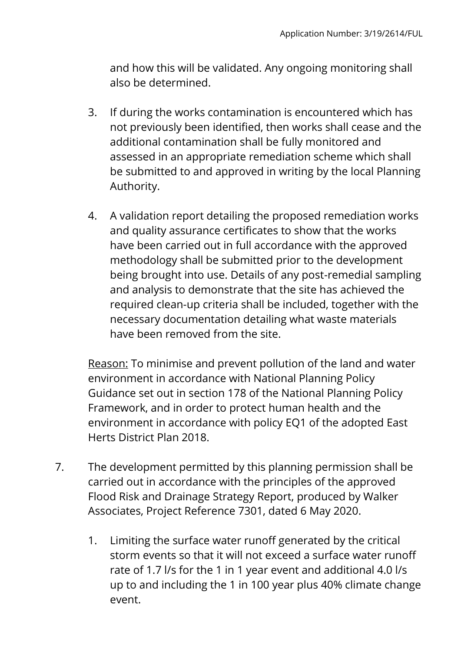and how this will be validated. Any ongoing monitoring shall also be determined.

- 3. If during the works contamination is encountered which has not previously been identified, then works shall cease and the additional contamination shall be fully monitored and assessed in an appropriate remediation scheme which shall be submitted to and approved in writing by the local Planning Authority.
- 4. A validation report detailing the proposed remediation works and quality assurance certificates to show that the works have been carried out in full accordance with the approved methodology shall be submitted prior to the development being brought into use. Details of any post-remedial sampling and analysis to demonstrate that the site has achieved the required clean-up criteria shall be included, together with the necessary documentation detailing what waste materials have been removed from the site.

Reason: To minimise and prevent pollution of the land and water environment in accordance with National Planning Policy Guidance set out in section 178 of the National Planning Policy Framework, and in order to protect human health and the environment in accordance with policy EQ1 of the adopted East Herts District Plan 2018.

- 7. The development permitted by this planning permission shall be carried out in accordance with the principles of the approved Flood Risk and Drainage Strategy Report, produced by Walker Associates, Project Reference 7301, dated 6 May 2020.
	- 1. Limiting the surface water runoff generated by the critical storm events so that it will not exceed a surface water runoff rate of 1.7 l/s for the 1 in 1 year event and additional 4.0 l/s up to and including the 1 in 100 year plus 40% climate change event.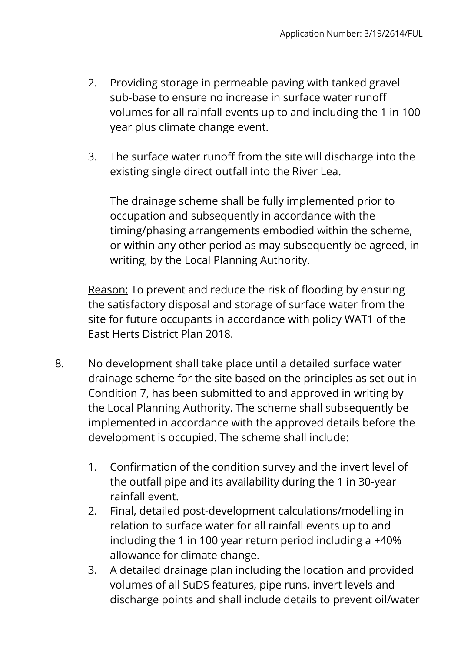- 2. Providing storage in permeable paving with tanked gravel sub-base to ensure no increase in surface water runoff volumes for all rainfall events up to and including the 1 in 100 year plus climate change event.
- 3. The surface water runoff from the site will discharge into the existing single direct outfall into the River Lea.

The drainage scheme shall be fully implemented prior to occupation and subsequently in accordance with the timing/phasing arrangements embodied within the scheme, or within any other period as may subsequently be agreed, in writing, by the Local Planning Authority.

Reason: To prevent and reduce the risk of flooding by ensuring the satisfactory disposal and storage of surface water from the site for future occupants in accordance with policy WAT1 of the East Herts District Plan 2018.

- 8. No development shall take place until a detailed surface water drainage scheme for the site based on the principles as set out in Condition 7, has been submitted to and approved in writing by the Local Planning Authority. The scheme shall subsequently be implemented in accordance with the approved details before the development is occupied. The scheme shall include:
	- 1. Confirmation of the condition survey and the invert level of the outfall pipe and its availability during the 1 in 30-year rainfall event.
	- 2. Final, detailed post-development calculations/modelling in relation to surface water for all rainfall events up to and including the 1 in 100 year return period including a +40% allowance for climate change.
	- 3. A detailed drainage plan including the location and provided volumes of all SuDS features, pipe runs, invert levels and discharge points and shall include details to prevent oil/water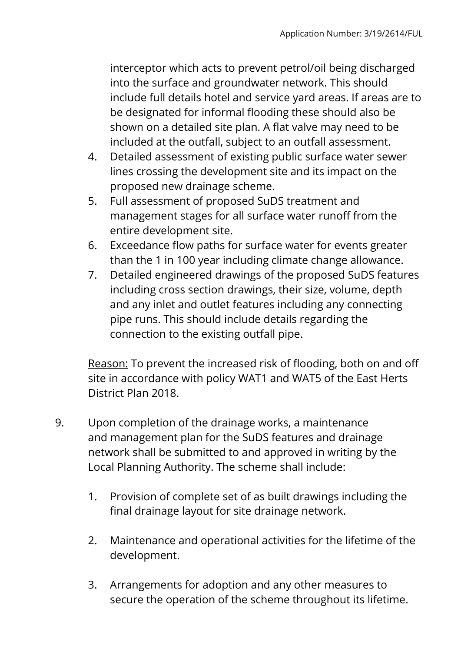interceptor which acts to prevent petrol/oil being discharged into the surface and groundwater network. This should include full details hotel and service yard areas. If areas are to be designated for informal flooding these should also be shown on a detailed site plan. A flat valve may need to be included at the outfall, subject to an outfall assessment.

- 4. Detailed assessment of existing public surface water sewer lines crossing the development site and its impact on the proposed new drainage scheme.
- 5. Full assessment of proposed SuDS treatment and management stages for all surface water runoff from the entire development site.
- 6. Exceedance flow paths for surface water for events greater than the 1 in 100 year including climate change allowance.
- 7. Detailed engineered drawings of the proposed SuDS features including cross section drawings, their size, volume, depth and any inlet and outlet features including any connecting pipe runs. This should include details regarding the connection to the existing outfall pipe.

Reason: To prevent the increased risk of flooding, both on and off site in accordance with policy WAT1 and WAT5 of the East Herts District Plan 2018.

- 9. Upon completion of the drainage works, a maintenance and management plan for the SuDS features and drainage network shall be submitted to and approved in writing by the Local Planning Authority. The scheme shall include:
	- 1. Provision of complete set of as built drawings including the final drainage layout for site drainage network.
	- 2. Maintenance and operational activities for the lifetime of the development.
	- 3. Arrangements for adoption and any other measures to secure the operation of the scheme throughout its lifetime.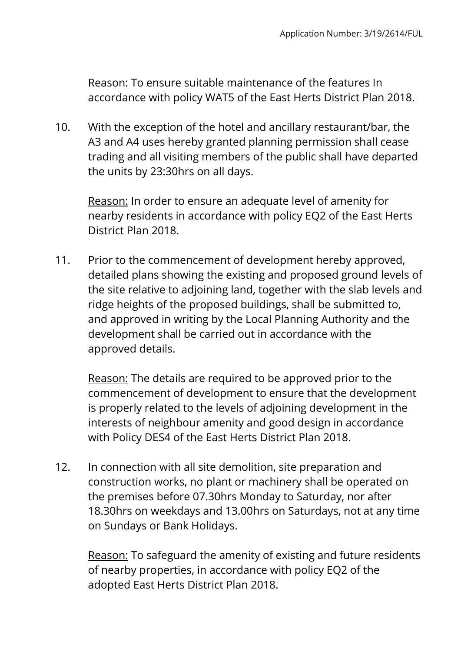Reason: To ensure suitable maintenance of the features In accordance with policy WAT5 of the East Herts District Plan 2018.

10. With the exception of the hotel and ancillary restaurant/bar, the A3 and A4 uses hereby granted planning permission shall cease trading and all visiting members of the public shall have departed the units by 23:30hrs on all days.

Reason: In order to ensure an adequate level of amenity for nearby residents in accordance with policy EQ2 of the East Herts District Plan 2018.

11. Prior to the commencement of development hereby approved, detailed plans showing the existing and proposed ground levels of the site relative to adjoining land, together with the slab levels and ridge heights of the proposed buildings, shall be submitted to, and approved in writing by the Local Planning Authority and the development shall be carried out in accordance with the approved details.

Reason: The details are required to be approved prior to the commencement of development to ensure that the development is properly related to the levels of adjoining development in the interests of neighbour amenity and good design in accordance with Policy DES4 of the East Herts District Plan 2018.

12. In connection with all site demolition, site preparation and construction works, no plant or machinery shall be operated on the premises before 07.30hrs Monday to Saturday, nor after 18.30hrs on weekdays and 13.00hrs on Saturdays, not at any time on Sundays or Bank Holidays.

Reason: To safeguard the amenity of existing and future residents of nearby properties, in accordance with policy EQ2 of the adopted East Herts District Plan 2018.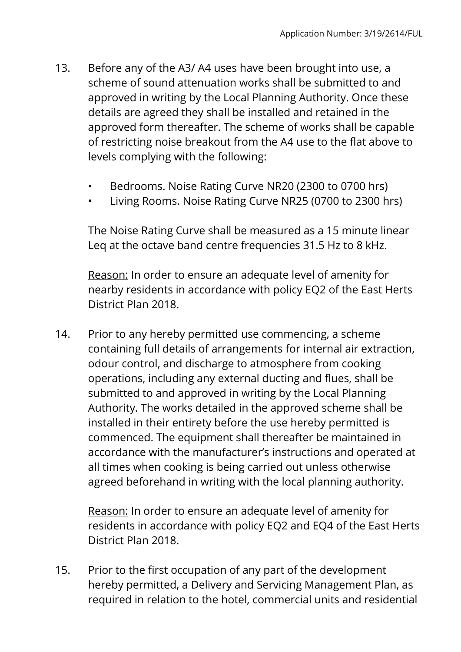- 13. Before any of the A3/ A4 uses have been brought into use, a scheme of sound attenuation works shall be submitted to and approved in writing by the Local Planning Authority. Once these details are agreed they shall be installed and retained in the approved form thereafter. The scheme of works shall be capable of restricting noise breakout from the A4 use to the flat above to levels complying with the following:
	- Bedrooms. Noise Rating Curve NR20 (2300 to 0700 hrs)
	- Living Rooms. Noise Rating Curve NR25 (0700 to 2300 hrs)

The Noise Rating Curve shall be measured as a 15 minute linear Leq at the octave band centre frequencies 31.5 Hz to 8 kHz.

Reason: In order to ensure an adequate level of amenity for nearby residents in accordance with policy EQ2 of the East Herts District Plan 2018.

14. Prior to any hereby permitted use commencing, a scheme containing full details of arrangements for internal air extraction, odour control, and discharge to atmosphere from cooking operations, including any external ducting and flues, shall be submitted to and approved in writing by the Local Planning Authority. The works detailed in the approved scheme shall be installed in their entirety before the use hereby permitted is commenced. The equipment shall thereafter be maintained in accordance with the manufacturer's instructions and operated at all times when cooking is being carried out unless otherwise agreed beforehand in writing with the local planning authority.

Reason: In order to ensure an adequate level of amenity for residents in accordance with policy EQ2 and EQ4 of the East Herts District Plan 2018.

15. Prior to the first occupation of any part of the development hereby permitted, a Delivery and Servicing Management Plan, as required in relation to the hotel, commercial units and residential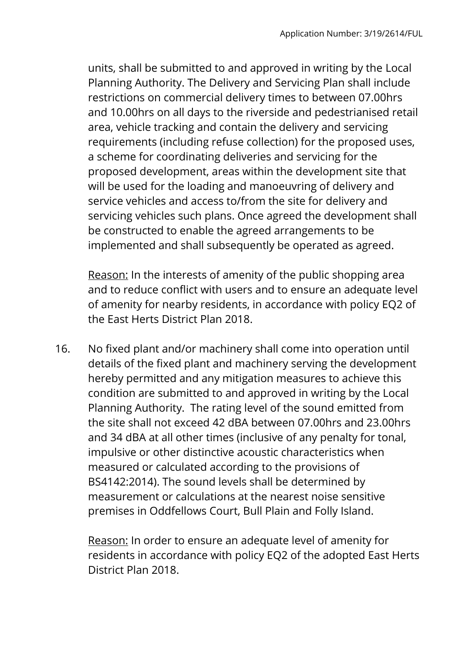units, shall be submitted to and approved in writing by the Local Planning Authority. The Delivery and Servicing Plan shall include restrictions on commercial delivery times to between 07.00hrs and 10.00hrs on all days to the riverside and pedestrianised retail area, vehicle tracking and contain the delivery and servicing requirements (including refuse collection) for the proposed uses, a scheme for coordinating deliveries and servicing for the proposed development, areas within the development site that will be used for the loading and manoeuvring of delivery and service vehicles and access to/from the site for delivery and servicing vehicles such plans. Once agreed the development shall be constructed to enable the agreed arrangements to be implemented and shall subsequently be operated as agreed.

Reason: In the interests of amenity of the public shopping area and to reduce conflict with users and to ensure an adequate level of amenity for nearby residents, in accordance with policy EQ2 of the East Herts District Plan 2018.

16. No fixed plant and/or machinery shall come into operation until details of the fixed plant and machinery serving the development hereby permitted and any mitigation measures to achieve this condition are submitted to and approved in writing by the Local Planning Authority. The rating level of the sound emitted from the site shall not exceed 42 dBA between 07.00hrs and 23.00hrs and 34 dBA at all other times (inclusive of any penalty for tonal, impulsive or other distinctive acoustic characteristics when measured or calculated according to the provisions of BS4142:2014). The sound levels shall be determined by measurement or calculations at the nearest noise sensitive premises in Oddfellows Court, Bull Plain and Folly Island.

Reason: In order to ensure an adequate level of amenity for residents in accordance with policy EQ2 of the adopted East Herts District Plan 2018.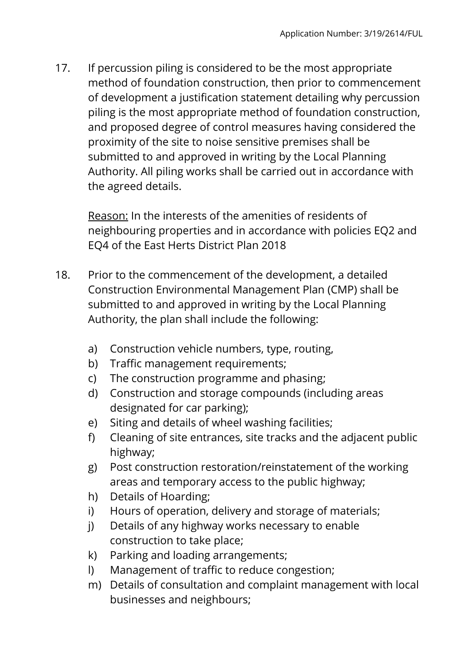17. If percussion piling is considered to be the most appropriate method of foundation construction, then prior to commencement of development a justification statement detailing why percussion piling is the most appropriate method of foundation construction, and proposed degree of control measures having considered the proximity of the site to noise sensitive premises shall be submitted to and approved in writing by the Local Planning Authority. All piling works shall be carried out in accordance with the agreed details.

Reason: In the interests of the amenities of residents of neighbouring properties and in accordance with policies EQ2 and EQ4 of the East Herts District Plan 2018

- 18. Prior to the commencement of the development, a detailed Construction Environmental Management Plan (CMP) shall be submitted to and approved in writing by the Local Planning Authority, the plan shall include the following:
	- a) Construction vehicle numbers, type, routing,
	- b) Traffic management requirements;
	- c) The construction programme and phasing;
	- d) Construction and storage compounds (including areas designated for car parking);
	- e) Siting and details of wheel washing facilities;
	- f) Cleaning of site entrances, site tracks and the adjacent public highway;
	- g) Post construction restoration/reinstatement of the working areas and temporary access to the public highway;
	- h) Details of Hoarding;
	- i) Hours of operation, delivery and storage of materials;
	- j) Details of any highway works necessary to enable construction to take place;
	- k) Parking and loading arrangements;
	- l) Management of traffic to reduce congestion;
	- m) Details of consultation and complaint management with local businesses and neighbours;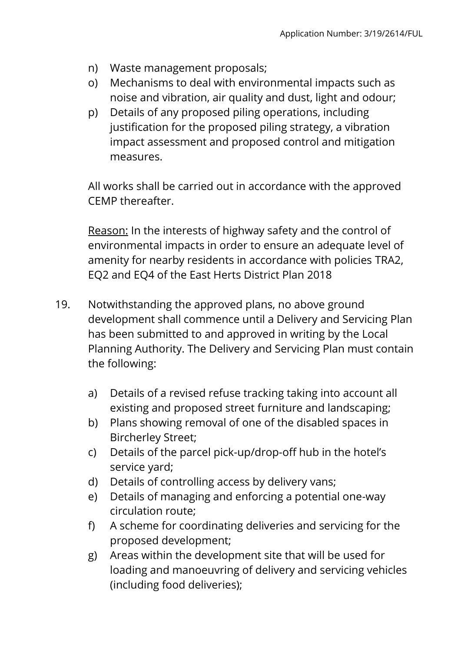- n) Waste management proposals;
- o) Mechanisms to deal with environmental impacts such as noise and vibration, air quality and dust, light and odour;
- p) Details of any proposed piling operations, including justification for the proposed piling strategy, a vibration impact assessment and proposed control and mitigation measures.

All works shall be carried out in accordance with the approved CEMP thereafter.

Reason: In the interests of highway safety and the control of environmental impacts in order to ensure an adequate level of amenity for nearby residents in accordance with policies TRA2, EQ2 and EQ4 of the East Herts District Plan 2018

- 19. Notwithstanding the approved plans, no above ground development shall commence until a Delivery and Servicing Plan has been submitted to and approved in writing by the Local Planning Authority. The Delivery and Servicing Plan must contain the following:
	- a) Details of a revised refuse tracking taking into account all existing and proposed street furniture and landscaping;
	- b) Plans showing removal of one of the disabled spaces in Bircherley Street;
	- c) Details of the parcel pick-up/drop-off hub in the hotel's service yard;
	- d) Details of controlling access by delivery vans;
	- e) Details of managing and enforcing a potential one-way circulation route;
	- f) A scheme for coordinating deliveries and servicing for the proposed development;
	- g) Areas within the development site that will be used for loading and manoeuvring of delivery and servicing vehicles (including food deliveries);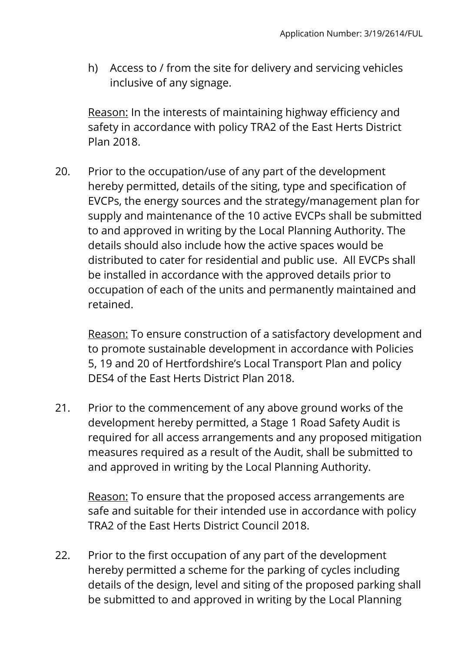h) Access to / from the site for delivery and servicing vehicles inclusive of any signage.

Reason: In the interests of maintaining highway efficiency and safety in accordance with policy TRA2 of the East Herts District Plan 2018.

20. Prior to the occupation/use of any part of the development hereby permitted, details of the siting, type and specification of EVCPs, the energy sources and the strategy/management plan for supply and maintenance of the 10 active EVCPs shall be submitted to and approved in writing by the Local Planning Authority. The details should also include how the active spaces would be distributed to cater for residential and public use. All EVCPs shall be installed in accordance with the approved details prior to occupation of each of the units and permanently maintained and retained.

Reason: To ensure construction of a satisfactory development and to promote sustainable development in accordance with Policies 5, 19 and 20 of Hertfordshire's Local Transport Plan and policy DES4 of the East Herts District Plan 2018.

21. Prior to the commencement of any above ground works of the development hereby permitted, a Stage 1 Road Safety Audit is required for all access arrangements and any proposed mitigation measures required as a result of the Audit, shall be submitted to and approved in writing by the Local Planning Authority.

Reason: To ensure that the proposed access arrangements are safe and suitable for their intended use in accordance with policy TRA2 of the East Herts District Council 2018.

22. Prior to the first occupation of any part of the development hereby permitted a scheme for the parking of cycles including details of the design, level and siting of the proposed parking shall be submitted to and approved in writing by the Local Planning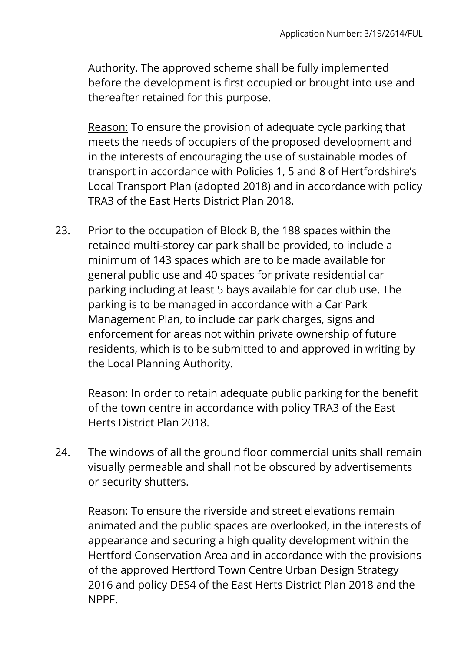Authority. The approved scheme shall be fully implemented before the development is first occupied or brought into use and thereafter retained for this purpose.

Reason: To ensure the provision of adequate cycle parking that meets the needs of occupiers of the proposed development and in the interests of encouraging the use of sustainable modes of transport in accordance with Policies 1, 5 and 8 of Hertfordshire's Local Transport Plan (adopted 2018) and in accordance with policy TRA3 of the East Herts District Plan 2018.

23. Prior to the occupation of Block B, the 188 spaces within the retained multi-storey car park shall be provided, to include a minimum of 143 spaces which are to be made available for general public use and 40 spaces for private residential car parking including at least 5 bays available for car club use. The parking is to be managed in accordance with a Car Park Management Plan, to include car park charges, signs and enforcement for areas not within private ownership of future residents, which is to be submitted to and approved in writing by the Local Planning Authority.

Reason: In order to retain adequate public parking for the benefit of the town centre in accordance with policy TRA3 of the East Herts District Plan 2018.

24. The windows of all the ground floor commercial units shall remain visually permeable and shall not be obscured by advertisements or security shutters.

Reason: To ensure the riverside and street elevations remain animated and the public spaces are overlooked, in the interests of appearance and securing a high quality development within the Hertford Conservation Area and in accordance with the provisions of the approved Hertford Town Centre Urban Design Strategy 2016 and policy DES4 of the East Herts District Plan 2018 and the NPPF.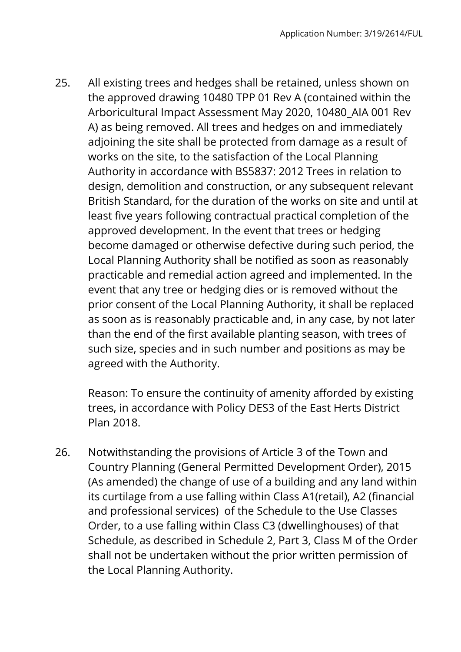25. All existing trees and hedges shall be retained, unless shown on the approved drawing 10480 TPP 01 Rev A (contained within the Arboricultural Impact Assessment May 2020, 10480\_AIA 001 Rev A) as being removed. All trees and hedges on and immediately adjoining the site shall be protected from damage as a result of works on the site, to the satisfaction of the Local Planning Authority in accordance with BS5837: 2012 Trees in relation to design, demolition and construction, or any subsequent relevant British Standard, for the duration of the works on site and until at least five years following contractual practical completion of the approved development. In the event that trees or hedging become damaged or otherwise defective during such period, the Local Planning Authority shall be notified as soon as reasonably practicable and remedial action agreed and implemented. In the event that any tree or hedging dies or is removed without the prior consent of the Local Planning Authority, it shall be replaced as soon as is reasonably practicable and, in any case, by not later than the end of the first available planting season, with trees of such size, species and in such number and positions as may be agreed with the Authority.

Reason: To ensure the continuity of amenity afforded by existing trees, in accordance with Policy DES3 of the East Herts District Plan 2018.

26. Notwithstanding the provisions of Article 3 of the Town and Country Planning (General Permitted Development Order), 2015 (As amended) the change of use of a building and any land within its curtilage from a use falling within Class A1(retail), A2 (financial and professional services) of the Schedule to the Use Classes Order, to a use falling within Class C3 (dwellinghouses) of that Schedule, as described in Schedule 2, Part 3, Class M of the Order shall not be undertaken without the prior written permission of the Local Planning Authority.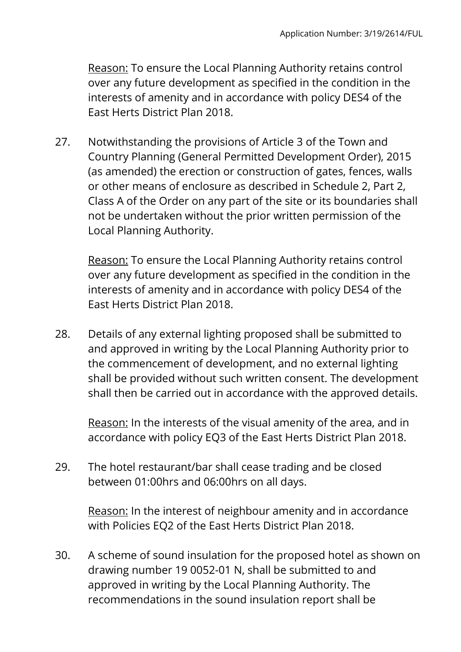Reason: To ensure the Local Planning Authority retains control over any future development as specified in the condition in the interests of amenity and in accordance with policy DES4 of the East Herts District Plan 2018.

27. Notwithstanding the provisions of Article 3 of the Town and Country Planning (General Permitted Development Order), 2015 (as amended) the erection or construction of gates, fences, walls or other means of enclosure as described in Schedule 2, Part 2, Class A of the Order on any part of the site or its boundaries shall not be undertaken without the prior written permission of the Local Planning Authority.

Reason: To ensure the Local Planning Authority retains control over any future development as specified in the condition in the interests of amenity and in accordance with policy DES4 of the East Herts District Plan 2018.

28. Details of any external lighting proposed shall be submitted to and approved in writing by the Local Planning Authority prior to the commencement of development, and no external lighting shall be provided without such written consent. The development shall then be carried out in accordance with the approved details.

Reason: In the interests of the visual amenity of the area, and in accordance with policy EQ3 of the East Herts District Plan 2018.

29. The hotel restaurant/bar shall cease trading and be closed between 01:00hrs and 06:00hrs on all days.

Reason: In the interest of neighbour amenity and in accordance with Policies EQ2 of the East Herts District Plan 2018.

30. A scheme of sound insulation for the proposed hotel as shown on drawing number 19 0052-01 N, shall be submitted to and approved in writing by the Local Planning Authority. The recommendations in the sound insulation report shall be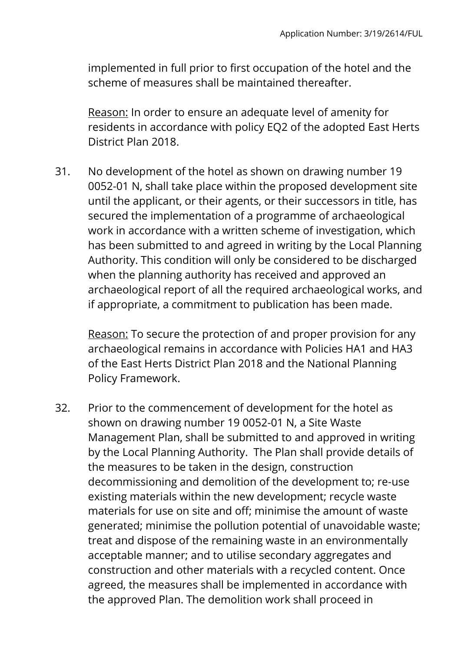implemented in full prior to first occupation of the hotel and the scheme of measures shall be maintained thereafter.

Reason: In order to ensure an adequate level of amenity for residents in accordance with policy EQ2 of the adopted East Herts District Plan 2018.

31. No development of the hotel as shown on drawing number 19 0052-01 N, shall take place within the proposed development site until the applicant, or their agents, or their successors in title, has secured the implementation of a programme of archaeological work in accordance with a written scheme of investigation, which has been submitted to and agreed in writing by the Local Planning Authority. This condition will only be considered to be discharged when the planning authority has received and approved an archaeological report of all the required archaeological works, and if appropriate, a commitment to publication has been made.

Reason: To secure the protection of and proper provision for any archaeological remains in accordance with Policies HA1 and HA3 of the East Herts District Plan 2018 and the National Planning Policy Framework.

32. Prior to the commencement of development for the hotel as shown on drawing number 19 0052-01 N, a Site Waste Management Plan, shall be submitted to and approved in writing by the Local Planning Authority. The Plan shall provide details of the measures to be taken in the design, construction decommissioning and demolition of the development to; re-use existing materials within the new development; recycle waste materials for use on site and off; minimise the amount of waste generated; minimise the pollution potential of unavoidable waste; treat and dispose of the remaining waste in an environmentally acceptable manner; and to utilise secondary aggregates and construction and other materials with a recycled content. Once agreed, the measures shall be implemented in accordance with the approved Plan. The demolition work shall proceed in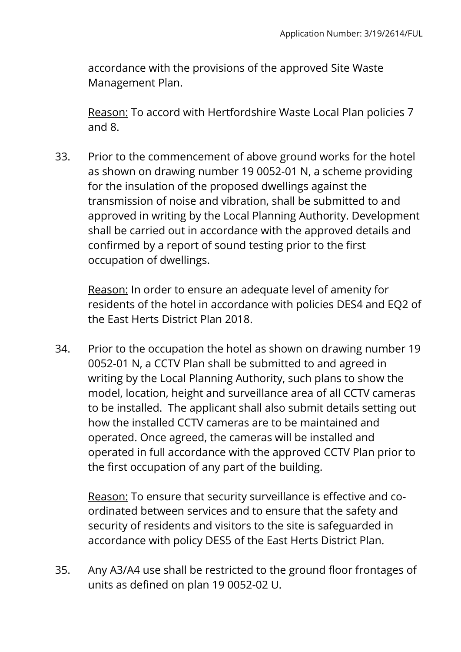accordance with the provisions of the approved Site Waste Management Plan.

Reason: To accord with Hertfordshire Waste Local Plan policies 7 and 8.

33. Prior to the commencement of above ground works for the hotel as shown on drawing number 19 0052-01 N, a scheme providing for the insulation of the proposed dwellings against the transmission of noise and vibration, shall be submitted to and approved in writing by the Local Planning Authority. Development shall be carried out in accordance with the approved details and confirmed by a report of sound testing prior to the first occupation of dwellings.

Reason: In order to ensure an adequate level of amenity for residents of the hotel in accordance with policies DES4 and EQ2 of the East Herts District Plan 2018.

34. Prior to the occupation the hotel as shown on drawing number 19 0052-01 N, a CCTV Plan shall be submitted to and agreed in writing by the Local Planning Authority, such plans to show the model, location, height and surveillance area of all CCTV cameras to be installed. The applicant shall also submit details setting out how the installed CCTV cameras are to be maintained and operated. Once agreed, the cameras will be installed and operated in full accordance with the approved CCTV Plan prior to the first occupation of any part of the building.

Reason: To ensure that security surveillance is effective and coordinated between services and to ensure that the safety and security of residents and visitors to the site is safeguarded in accordance with policy DES5 of the East Herts District Plan.

35. Any A3/A4 use shall be restricted to the ground floor frontages of units as defined on plan 19 0052-02 U.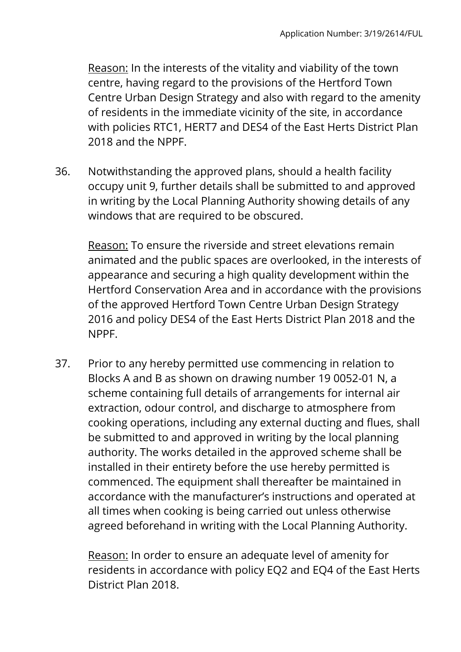Reason: In the interests of the vitality and viability of the town centre, having regard to the provisions of the Hertford Town Centre Urban Design Strategy and also with regard to the amenity of residents in the immediate vicinity of the site, in accordance with policies RTC1, HERT7 and DES4 of the East Herts District Plan 2018 and the NPPF.

36. Notwithstanding the approved plans, should a health facility occupy unit 9, further details shall be submitted to and approved in writing by the Local Planning Authority showing details of any windows that are required to be obscured.

Reason: To ensure the riverside and street elevations remain animated and the public spaces are overlooked, in the interests of appearance and securing a high quality development within the Hertford Conservation Area and in accordance with the provisions of the approved Hertford Town Centre Urban Design Strategy 2016 and policy DES4 of the East Herts District Plan 2018 and the NPPF.

37. Prior to any hereby permitted use commencing in relation to Blocks A and B as shown on drawing number 19 0052-01 N, a scheme containing full details of arrangements for internal air extraction, odour control, and discharge to atmosphere from cooking operations, including any external ducting and flues, shall be submitted to and approved in writing by the local planning authority. The works detailed in the approved scheme shall be installed in their entirety before the use hereby permitted is commenced. The equipment shall thereafter be maintained in accordance with the manufacturer's instructions and operated at all times when cooking is being carried out unless otherwise agreed beforehand in writing with the Local Planning Authority.

Reason: In order to ensure an adequate level of amenity for residents in accordance with policy EQ2 and EQ4 of the East Herts District Plan 2018.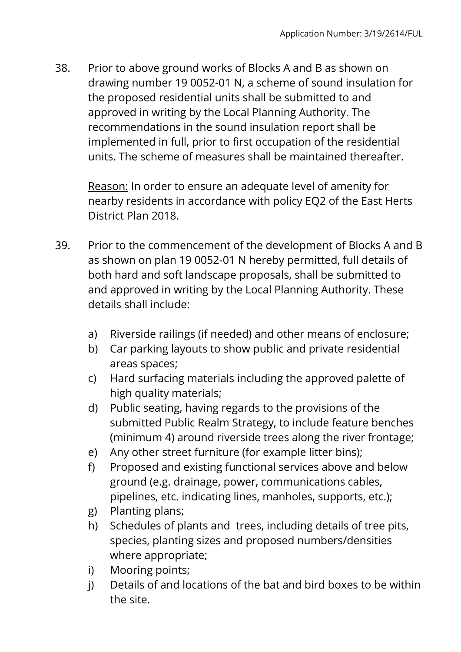38. Prior to above ground works of Blocks A and B as shown on drawing number 19 0052-01 N, a scheme of sound insulation for the proposed residential units shall be submitted to and approved in writing by the Local Planning Authority. The recommendations in the sound insulation report shall be implemented in full, prior to first occupation of the residential units. The scheme of measures shall be maintained thereafter.

Reason: In order to ensure an adequate level of amenity for nearby residents in accordance with policy EQ2 of the East Herts District Plan 2018.

- 39. Prior to the commencement of the development of Blocks A and B as shown on plan 19 0052-01 N hereby permitted, full details of both hard and soft landscape proposals, shall be submitted to and approved in writing by the Local Planning Authority. These details shall include:
	- a) Riverside railings (if needed) and other means of enclosure;
	- b) Car parking layouts to show public and private residential areas spaces;
	- c) Hard surfacing materials including the approved palette of high quality materials;
	- d) Public seating, having regards to the provisions of the submitted Public Realm Strategy, to include feature benches (minimum 4) around riverside trees along the river frontage;
	- e) Any other street furniture (for example litter bins);
	- f) Proposed and existing functional services above and below ground (e.g. drainage, power, communications cables, pipelines, etc. indicating lines, manholes, supports, etc.);
	- g) Planting plans;
	- h) Schedules of plants and trees, including details of tree pits, species, planting sizes and proposed numbers/densities where appropriate;
	- i) Mooring points;
	- j) Details of and locations of the bat and bird boxes to be within the site.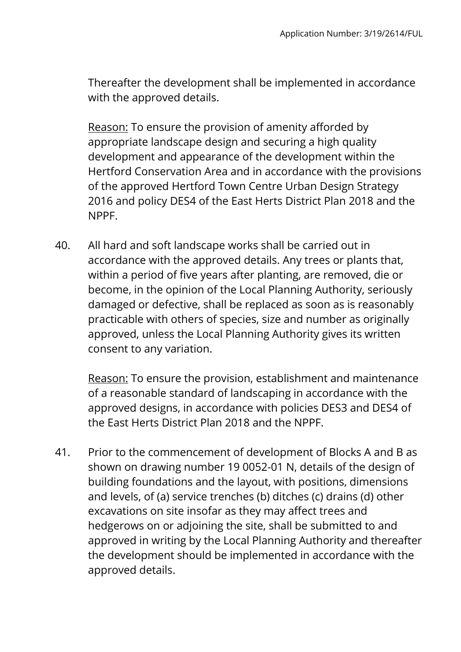Thereafter the development shall be implemented in accordance with the approved details.

Reason: To ensure the provision of amenity afforded by appropriate landscape design and securing a high quality development and appearance of the development within the Hertford Conservation Area and in accordance with the provisions of the approved Hertford Town Centre Urban Design Strategy 2016 and policy DES4 of the East Herts District Plan 2018 and the NPPF.

40. All hard and soft landscape works shall be carried out in accordance with the approved details. Any trees or plants that, within a period of five years after planting, are removed, die or become, in the opinion of the Local Planning Authority, seriously damaged or defective, shall be replaced as soon as is reasonably practicable with others of species, size and number as originally approved, unless the Local Planning Authority gives its written consent to any variation.

Reason: To ensure the provision, establishment and maintenance of a reasonable standard of landscaping in accordance with the approved designs, in accordance with policies DES3 and DES4 of the East Herts District Plan 2018 and the NPPF.

41. Prior to the commencement of development of Blocks A and B as shown on drawing number 19 0052-01 N, details of the design of building foundations and the layout, with positions, dimensions and levels, of (a) service trenches (b) ditches (c) drains (d) other excavations on site insofar as they may affect trees and hedgerows on or adjoining the site, shall be submitted to and approved in writing by the Local Planning Authority and thereafter the development should be implemented in accordance with the approved details.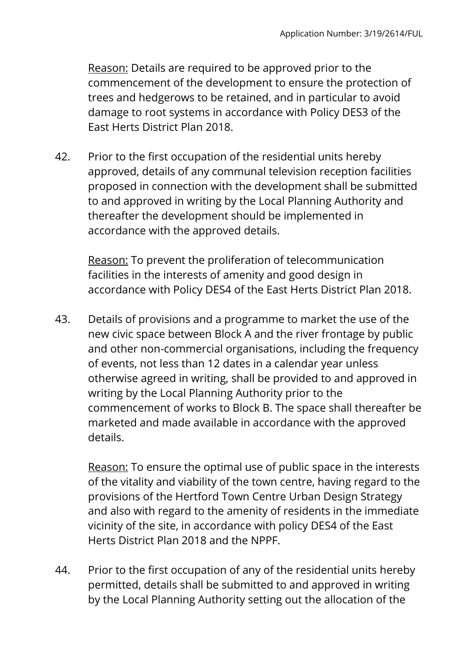Reason: Details are required to be approved prior to the commencement of the development to ensure the protection of trees and hedgerows to be retained, and in particular to avoid damage to root systems in accordance with Policy DES3 of the East Herts District Plan 2018.

42. Prior to the first occupation of the residential units hereby approved, details of any communal television reception facilities proposed in connection with the development shall be submitted to and approved in writing by the Local Planning Authority and thereafter the development should be implemented in accordance with the approved details.

Reason: To prevent the proliferation of telecommunication facilities in the interests of amenity and good design in accordance with Policy DES4 of the East Herts District Plan 2018.

43. Details of provisions and a programme to market the use of the new civic space between Block A and the river frontage by public and other non-commercial organisations, including the frequency of events, not less than 12 dates in a calendar year unless otherwise agreed in writing, shall be provided to and approved in writing by the Local Planning Authority prior to the commencement of works to Block B. The space shall thereafter be marketed and made available in accordance with the approved details.

Reason: To ensure the optimal use of public space in the interests of the vitality and viability of the town centre, having regard to the provisions of the Hertford Town Centre Urban Design Strategy and also with regard to the amenity of residents in the immediate vicinity of the site, in accordance with policy DES4 of the East Herts District Plan 2018 and the NPPF.

44. Prior to the first occupation of any of the residential units hereby permitted, details shall be submitted to and approved in writing by the Local Planning Authority setting out the allocation of the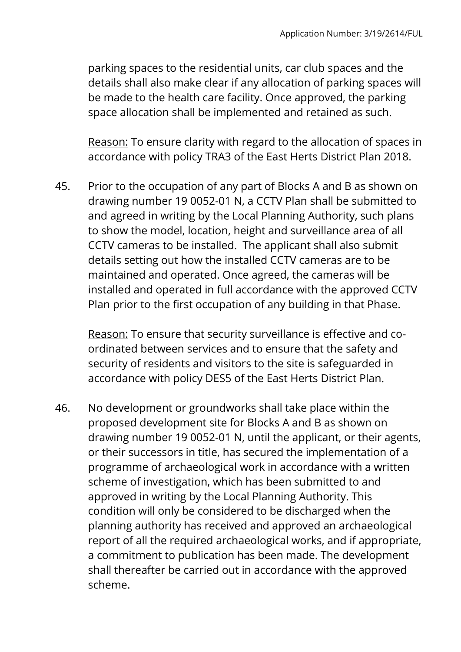parking spaces to the residential units, car club spaces and the details shall also make clear if any allocation of parking spaces will be made to the health care facility. Once approved, the parking space allocation shall be implemented and retained as such.

Reason: To ensure clarity with regard to the allocation of spaces in accordance with policy TRA3 of the East Herts District Plan 2018.

45. Prior to the occupation of any part of Blocks A and B as shown on drawing number 19 0052-01 N, a CCTV Plan shall be submitted to and agreed in writing by the Local Planning Authority, such plans to show the model, location, height and surveillance area of all CCTV cameras to be installed. The applicant shall also submit details setting out how the installed CCTV cameras are to be maintained and operated. Once agreed, the cameras will be installed and operated in full accordance with the approved CCTV Plan prior to the first occupation of any building in that Phase.

Reason: To ensure that security surveillance is effective and coordinated between services and to ensure that the safety and security of residents and visitors to the site is safeguarded in accordance with policy DES5 of the East Herts District Plan.

46. No development or groundworks shall take place within the proposed development site for Blocks A and B as shown on drawing number 19 0052-01 N, until the applicant, or their agents, or their successors in title, has secured the implementation of a programme of archaeological work in accordance with a written scheme of investigation, which has been submitted to and approved in writing by the Local Planning Authority. This condition will only be considered to be discharged when the planning authority has received and approved an archaeological report of all the required archaeological works, and if appropriate, a commitment to publication has been made. The development shall thereafter be carried out in accordance with the approved scheme.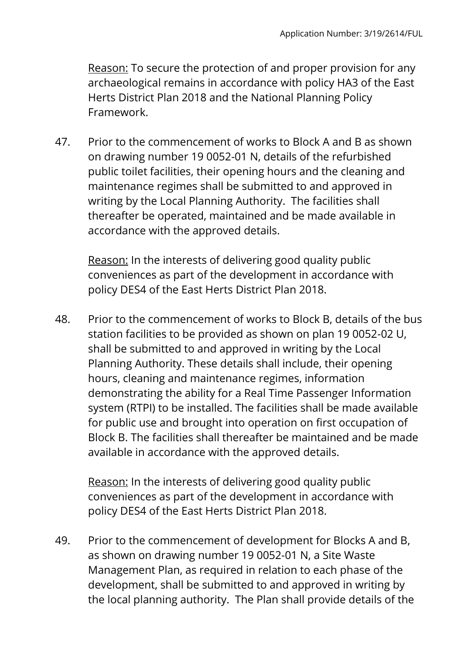Reason: To secure the protection of and proper provision for any archaeological remains in accordance with policy HA3 of the East Herts District Plan 2018 and the National Planning Policy Framework.

47. Prior to the commencement of works to Block A and B as shown on drawing number 19 0052-01 N, details of the refurbished public toilet facilities, their opening hours and the cleaning and maintenance regimes shall be submitted to and approved in writing by the Local Planning Authority. The facilities shall thereafter be operated, maintained and be made available in accordance with the approved details.

Reason: In the interests of delivering good quality public conveniences as part of the development in accordance with policy DES4 of the East Herts District Plan 2018.

48. Prior to the commencement of works to Block B, details of the bus station facilities to be provided as shown on plan 19 0052-02 U, shall be submitted to and approved in writing by the Local Planning Authority. These details shall include, their opening hours, cleaning and maintenance regimes, information demonstrating the ability for a Real Time Passenger Information system (RTPI) to be installed. The facilities shall be made available for public use and brought into operation on first occupation of Block B. The facilities shall thereafter be maintained and be made available in accordance with the approved details.

Reason: In the interests of delivering good quality public conveniences as part of the development in accordance with policy DES4 of the East Herts District Plan 2018.

49. Prior to the commencement of development for Blocks A and B, as shown on drawing number 19 0052-01 N, a Site Waste Management Plan, as required in relation to each phase of the development, shall be submitted to and approved in writing by the local planning authority. The Plan shall provide details of the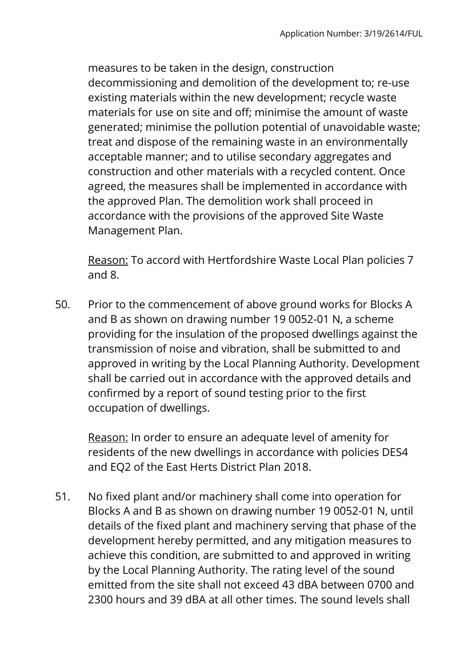measures to be taken in the design, construction decommissioning and demolition of the development to; re-use existing materials within the new development; recycle waste materials for use on site and off; minimise the amount of waste generated; minimise the pollution potential of unavoidable waste; treat and dispose of the remaining waste in an environmentally acceptable manner; and to utilise secondary aggregates and construction and other materials with a recycled content. Once agreed, the measures shall be implemented in accordance with the approved Plan. The demolition work shall proceed in accordance with the provisions of the approved Site Waste Management Plan.

Reason: To accord with Hertfordshire Waste Local Plan policies 7 and 8.

50. Prior to the commencement of above ground works for Blocks A and B as shown on drawing number 19 0052-01 N, a scheme providing for the insulation of the proposed dwellings against the transmission of noise and vibration, shall be submitted to and approved in writing by the Local Planning Authority. Development shall be carried out in accordance with the approved details and confirmed by a report of sound testing prior to the first occupation of dwellings.

Reason: In order to ensure an adequate level of amenity for residents of the new dwellings in accordance with policies DES4 and EQ2 of the East Herts District Plan 2018.

51. No fixed plant and/or machinery shall come into operation for Blocks A and B as shown on drawing number 19 0052-01 N, until details of the fixed plant and machinery serving that phase of the development hereby permitted, and any mitigation measures to achieve this condition, are submitted to and approved in writing by the Local Planning Authority. The rating level of the sound emitted from the site shall not exceed 43 dBA between 0700 and 2300 hours and 39 dBA at all other times. The sound levels shall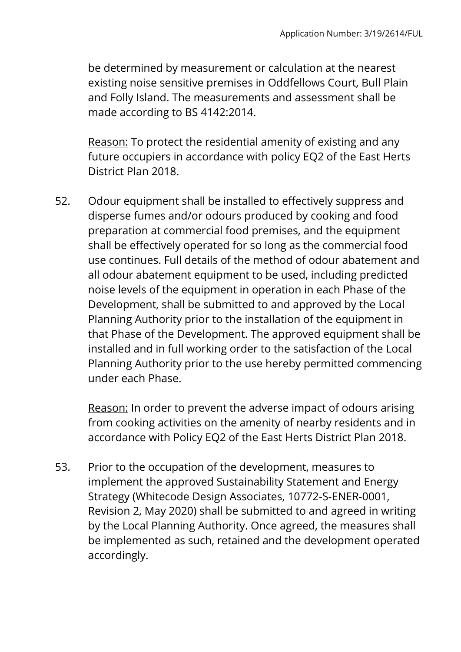be determined by measurement or calculation at the nearest existing noise sensitive premises in Oddfellows Court, Bull Plain and Folly Island. The measurements and assessment shall be made according to BS 4142:2014.

Reason: To protect the residential amenity of existing and any future occupiers in accordance with policy EQ2 of the East Herts District Plan 2018.

52. Odour equipment shall be installed to effectively suppress and disperse fumes and/or odours produced by cooking and food preparation at commercial food premises, and the equipment shall be effectively operated for so long as the commercial food use continues. Full details of the method of odour abatement and all odour abatement equipment to be used, including predicted noise levels of the equipment in operation in each Phase of the Development, shall be submitted to and approved by the Local Planning Authority prior to the installation of the equipment in that Phase of the Development. The approved equipment shall be installed and in full working order to the satisfaction of the Local Planning Authority prior to the use hereby permitted commencing under each Phase.

Reason: In order to prevent the adverse impact of odours arising from cooking activities on the amenity of nearby residents and in accordance with Policy EQ2 of the East Herts District Plan 2018.

53. Prior to the occupation of the development, measures to implement the approved Sustainability Statement and Energy Strategy (Whitecode Design Associates, 10772-S-ENER-0001, Revision 2, May 2020) shall be submitted to and agreed in writing by the Local Planning Authority. Once agreed, the measures shall be implemented as such, retained and the development operated accordingly.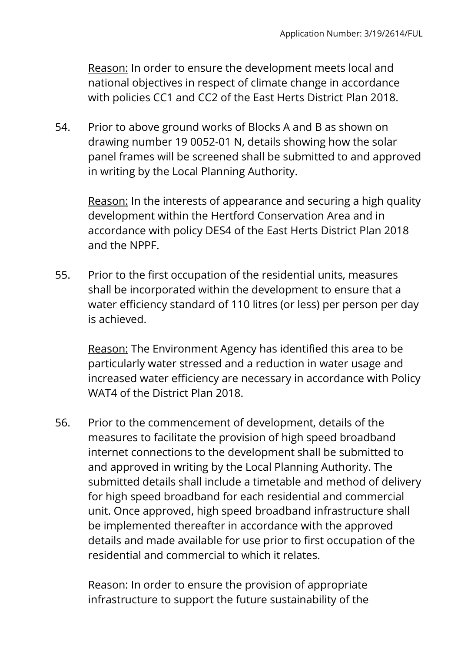Reason: In order to ensure the development meets local and national objectives in respect of climate change in accordance with policies CC1 and CC2 of the East Herts District Plan 2018.

54. Prior to above ground works of Blocks A and B as shown on drawing number 19 0052-01 N, details showing how the solar panel frames will be screened shall be submitted to and approved in writing by the Local Planning Authority.

Reason: In the interests of appearance and securing a high quality development within the Hertford Conservation Area and in accordance with policy DES4 of the East Herts District Plan 2018 and the NPPF.

55. Prior to the first occupation of the residential units, measures shall be incorporated within the development to ensure that a water efficiency standard of 110 litres (or less) per person per day is achieved.

Reason: The Environment Agency has identified this area to be particularly water stressed and a reduction in water usage and increased water efficiency are necessary in accordance with Policy WAT4 of the District Plan 2018.

56. Prior to the commencement of development, details of the measures to facilitate the provision of high speed broadband internet connections to the development shall be submitted to and approved in writing by the Local Planning Authority. The submitted details shall include a timetable and method of delivery for high speed broadband for each residential and commercial unit. Once approved, high speed broadband infrastructure shall be implemented thereafter in accordance with the approved details and made available for use prior to first occupation of the residential and commercial to which it relates.

Reason: In order to ensure the provision of appropriate infrastructure to support the future sustainability of the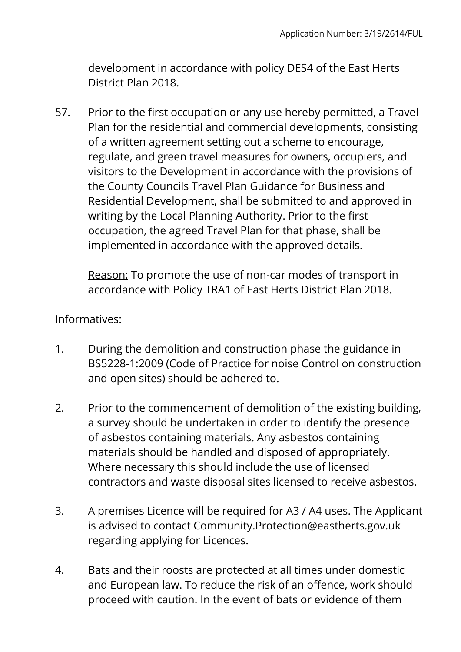development in accordance with policy DES4 of the East Herts District Plan 2018.

57. Prior to the first occupation or any use hereby permitted, a Travel Plan for the residential and commercial developments, consisting of a written agreement setting out a scheme to encourage, regulate, and green travel measures for owners, occupiers, and visitors to the Development in accordance with the provisions of the County Councils Travel Plan Guidance for Business and Residential Development, shall be submitted to and approved in writing by the Local Planning Authority. Prior to the first occupation, the agreed Travel Plan for that phase, shall be implemented in accordance with the approved details.

Reason: To promote the use of non-car modes of transport in accordance with Policy TRA1 of East Herts District Plan 2018.

### Informatives:

- 1. During the demolition and construction phase the guidance in BS5228-1:2009 (Code of Practice for noise Control on construction and open sites) should be adhered to.
- 2. Prior to the commencement of demolition of the existing building, a survey should be undertaken in order to identify the presence of asbestos containing materials. Any asbestos containing materials should be handled and disposed of appropriately. Where necessary this should include the use of licensed contractors and waste disposal sites licensed to receive asbestos.
- 3. A premises Licence will be required for A3 / A4 uses. The Applicant is advised to contact Community.Protection@eastherts.gov.uk regarding applying for Licences.
- 4. Bats and their roosts are protected at all times under domestic and European law. To reduce the risk of an offence, work should proceed with caution. In the event of bats or evidence of them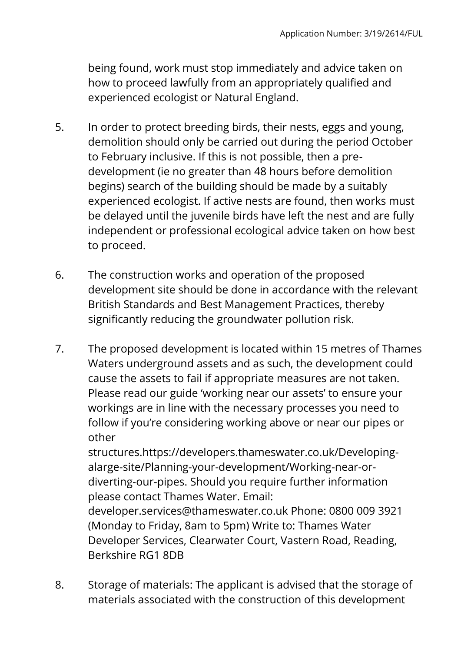being found, work must stop immediately and advice taken on how to proceed lawfully from an appropriately qualified and experienced ecologist or Natural England.

- 5. In order to protect breeding birds, their nests, eggs and young, demolition should only be carried out during the period October to February inclusive. If this is not possible, then a predevelopment (ie no greater than 48 hours before demolition begins) search of the building should be made by a suitably experienced ecologist. If active nests are found, then works must be delayed until the juvenile birds have left the nest and are fully independent or professional ecological advice taken on how best to proceed.
- 6. The construction works and operation of the proposed development site should be done in accordance with the relevant British Standards and Best Management Practices, thereby significantly reducing the groundwater pollution risk.
- 7. The proposed development is located within 15 metres of Thames Waters underground assets and as such, the development could cause the assets to fail if appropriate measures are not taken. Please read our guide 'working near our assets' to ensure your workings are in line with the necessary processes you need to follow if you're considering working above or near our pipes or other

structures.https://developers.thameswater.co.uk/Developingalarge-site/Planning-your-development/Working-near-ordiverting-our-pipes. Should you require further information please contact Thames Water. Email:

developer.services@thameswater.co.uk Phone: 0800 009 3921 (Monday to Friday, 8am to 5pm) Write to: Thames Water Developer Services, Clearwater Court, Vastern Road, Reading, Berkshire RG1 8DB

8. Storage of materials: The applicant is advised that the storage of materials associated with the construction of this development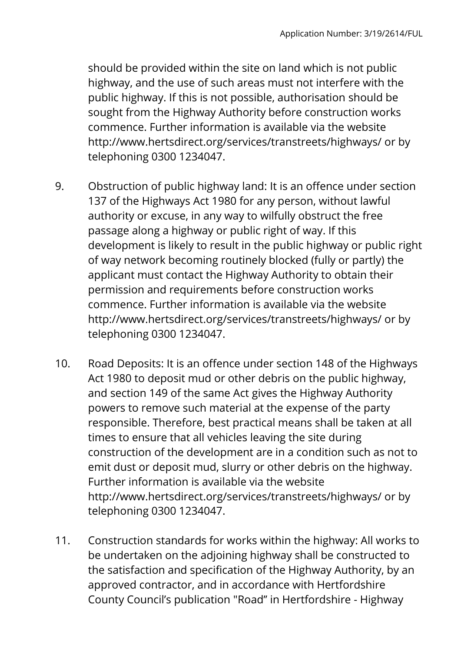should be provided within the site on land which is not public highway, and the use of such areas must not interfere with the public highway. If this is not possible, authorisation should be sought from the Highway Authority before construction works commence. Further information is available via the website http://www.hertsdirect.org/services/transtreets/highways/ or by telephoning 0300 1234047.

- 9. Obstruction of public highway land: It is an offence under section 137 of the Highways Act 1980 for any person, without lawful authority or excuse, in any way to wilfully obstruct the free passage along a highway or public right of way. If this development is likely to result in the public highway or public right of way network becoming routinely blocked (fully or partly) the applicant must contact the Highway Authority to obtain their permission and requirements before construction works commence. Further information is available via the website http://www.hertsdirect.org/services/transtreets/highways/ or by telephoning 0300 1234047.
- 10. Road Deposits: It is an offence under section 148 of the Highways Act 1980 to deposit mud or other debris on the public highway, and section 149 of the same Act gives the Highway Authority powers to remove such material at the expense of the party responsible. Therefore, best practical means shall be taken at all times to ensure that all vehicles leaving the site during construction of the development are in a condition such as not to emit dust or deposit mud, slurry or other debris on the highway. Further information is available via the website http://www.hertsdirect.org/services/transtreets/highways/ or by telephoning 0300 1234047.
- 11. Construction standards for works within the highway: All works to be undertaken on the adjoining highway shall be constructed to the satisfaction and specification of the Highway Authority, by an approved contractor, and in accordance with Hertfordshire County Council's publication "Road'' in Hertfordshire - Highway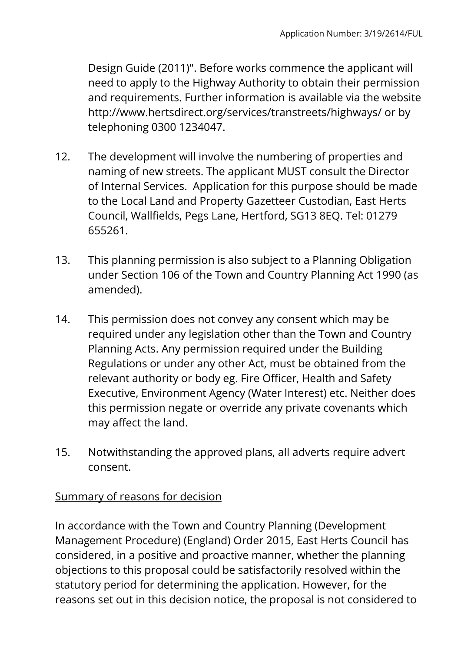Design Guide (2011)". Before works commence the applicant will need to apply to the Highway Authority to obtain their permission and requirements. Further information is available via the website http://www.hertsdirect.org/services/transtreets/highways/ or by telephoning 0300 1234047.

- 12. The development will involve the numbering of properties and naming of new streets. The applicant MUST consult the Director of Internal Services. Application for this purpose should be made to the Local Land and Property Gazetteer Custodian, East Herts Council, Wallfields, Pegs Lane, Hertford, SG13 8EQ. Tel: 01279 655261.
- 13. This planning permission is also subject to a Planning Obligation under Section 106 of the Town and Country Planning Act 1990 (as amended).
- 14. This permission does not convey any consent which may be required under any legislation other than the Town and Country Planning Acts. Any permission required under the Building Regulations or under any other Act, must be obtained from the relevant authority or body eg. Fire Officer, Health and Safety Executive, Environment Agency (Water Interest) etc. Neither does this permission negate or override any private covenants which may affect the land.
- 15. Notwithstanding the approved plans, all adverts require advert consent.

### Summary of reasons for decision

In accordance with the Town and Country Planning (Development Management Procedure) (England) Order 2015, East Herts Council has considered, in a positive and proactive manner, whether the planning objections to this proposal could be satisfactorily resolved within the statutory period for determining the application. However, for the reasons set out in this decision notice, the proposal is not considered to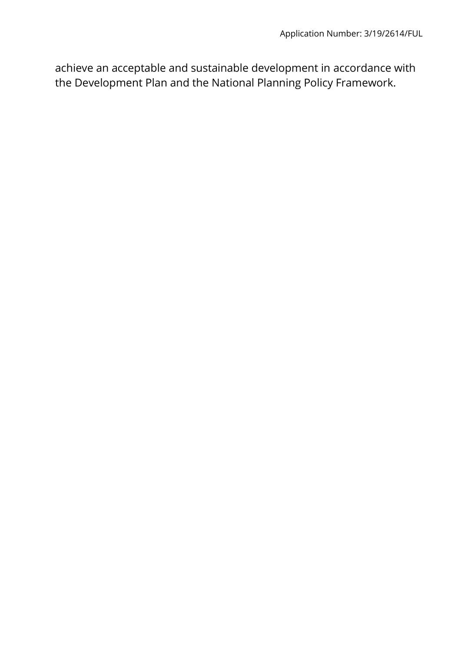achieve an acceptable and sustainable development in accordance with the Development Plan and the National Planning Policy Framework.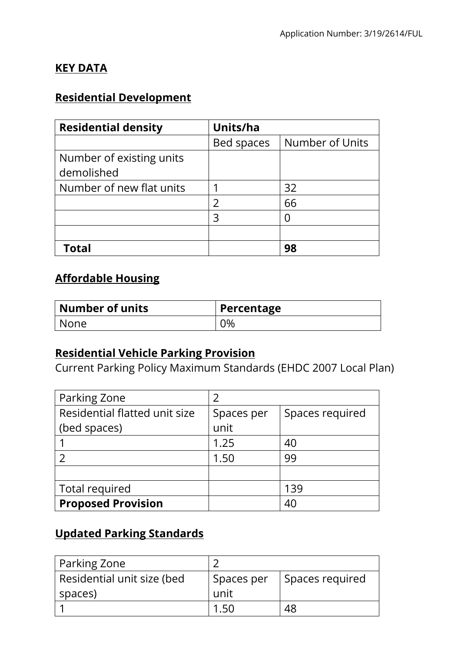### **KEY DATA**

## **Residential Development**

| <b>Residential density</b> | Units/ha   |                 |
|----------------------------|------------|-----------------|
|                            | Bed spaces | Number of Units |
| Number of existing units   |            |                 |
| demolished                 |            |                 |
| Number of new flat units   |            | 32              |
|                            |            | 66              |
|                            | 3          |                 |
|                            |            |                 |
| Total                      |            | 98              |

# **Affordable Housing**

| $\mid$ Number of units | Percentage |
|------------------------|------------|
| l None                 | 0%         |

### **Residential Vehicle Parking Provision**

Current Parking Policy Maximum Standards (EHDC 2007 Local Plan)

| Parking Zone                  |            |                 |
|-------------------------------|------------|-----------------|
| Residential flatted unit size | Spaces per | Spaces required |
| (bed spaces)                  | unit       |                 |
|                               | 1.25       | 40              |
|                               | 1.50       | 99              |
|                               |            |                 |
| Total required                |            | 139             |
| <b>Proposed Provision</b>     |            | 40              |

## **Updated Parking Standards**

| Parking Zone               |            |                 |
|----------------------------|------------|-----------------|
| Residential unit size (bed | Spaces per | Spaces required |
| spaces)                    | unit       |                 |
|                            |            |                 |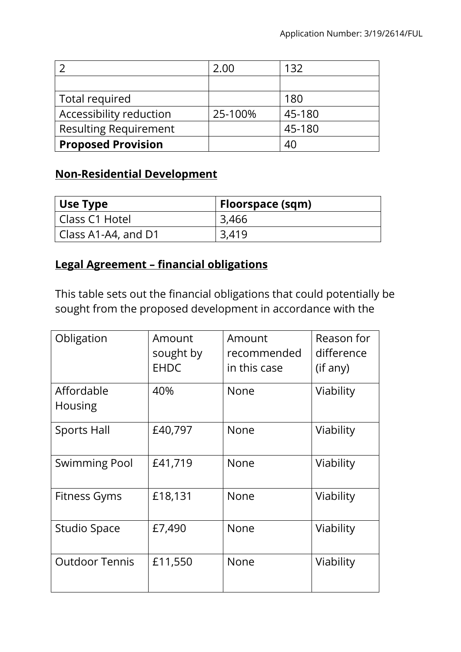|                              | 2.00    | 132    |
|------------------------------|---------|--------|
|                              |         |        |
| Total required               |         | 180    |
| Accessibility reduction      | 25-100% | 45-180 |
| <b>Resulting Requirement</b> |         | 45-180 |
| <b>Proposed Provision</b>    |         | 40     |

## **Non-Residential Development**

| Use Type            | Floorspace (sqm) |
|---------------------|------------------|
| l Class C1 Hotel    | 3,466            |
| Class A1-A4, and D1 | 3.419            |

### **Legal Agreement – financial obligations**

This table sets out the financial obligations that could potentially be sought from the proposed development in accordance with the

| Obligation                   | Amount<br>sought by<br><b>EHDC</b> | Amount<br>recommended<br>in this case | Reason for<br>difference<br>(if any) |
|------------------------------|------------------------------------|---------------------------------------|--------------------------------------|
| Affordable<br><b>Housing</b> | 40%                                | <b>None</b>                           | Viability                            |
| <b>Sports Hall</b>           | £40,797                            | <b>None</b>                           | Viability                            |
| <b>Swimming Pool</b>         | £41,719                            | None                                  | Viability                            |
| Fitness Gyms                 | £18,131                            | <b>None</b>                           | Viability                            |
| <b>Studio Space</b>          | £7,490                             | <b>None</b>                           | Viability                            |
| <b>Outdoor Tennis</b>        | £11,550                            | <b>None</b>                           | Viability                            |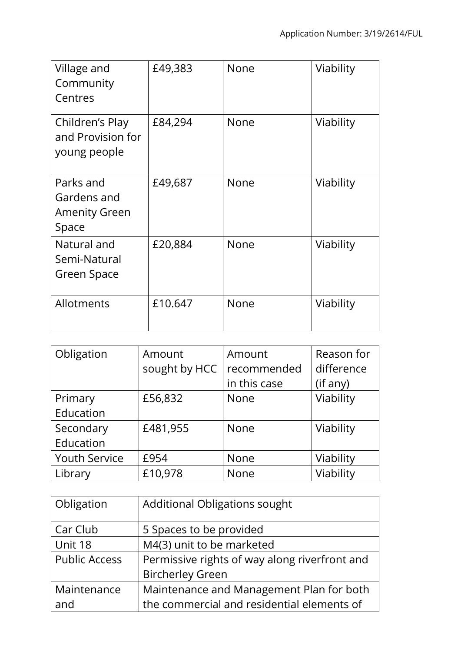| Village and<br>Community<br>Centres                       | £49,383 | None | Viability |
|-----------------------------------------------------------|---------|------|-----------|
| Children's Play<br>and Provision for<br>young people      | £84,294 | None | Viability |
| Parks and<br>Gardens and<br><b>Amenity Green</b><br>Space | £49,687 | None | Viability |
| Natural and<br>Semi-Natural<br>Green Space                | £20,884 | None | Viability |
| Allotments                                                | £10.647 | None | Viability |

| Obligation           | Amount        | Amount       | Reason for |
|----------------------|---------------|--------------|------------|
|                      | sought by HCC | recommended  | difference |
|                      |               | in this case | (if any)   |
| Primary              | £56,832       | <b>None</b>  | Viability  |
| Education            |               |              |            |
| Secondary            | £481,955      | <b>None</b>  | Viability  |
| Education            |               |              |            |
| <b>Youth Service</b> | £954          | <b>None</b>  | Viability  |
| Library              | £10,978       | <b>None</b>  | Viability  |

| Obligation           | <b>Additional Obligations sought</b>          |
|----------------------|-----------------------------------------------|
| Car Club             | 5 Spaces to be provided                       |
| Unit 18              | M4(3) unit to be marketed                     |
| <b>Public Access</b> | Permissive rights of way along riverfront and |
|                      | <b>Bircherley Green</b>                       |
| Maintenance          | Maintenance and Management Plan for both      |
| and                  | the commercial and residential elements of    |